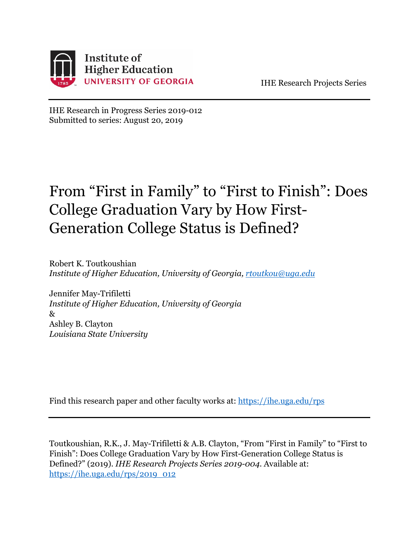

IHE Research Projects Series

IHE Research in Progress Series 2019-012 Submitted to series: August 20, 2019

# From "First in Family" to "First to Finish": Does College Graduation Vary by How First-Generation College Status is Defined?

Robert K. Toutkoushian *Institute of Higher Education, University of Georgia, [rtoutkou@uga.edu](mailto:rtoutkou@uga.edu)*

Jennifer May-Trifiletti *Institute of Higher Education, University of Georgia* & Ashley B. Clayton *Louisiana State University*

Find this research paper and other faculty works at:<https://ihe.uga.edu/rps>

Toutkoushian, R.K., J. May-Trifiletti & A.B. Clayton, "From "First in Family" to "First to Finish": Does College Graduation Vary by How First-Generation College Status is Defined?" (2019). *IHE Research Projects Series 2019-004*. Available at: [https://ihe.uga.edu/rps/2019\\_012](https://ihe.uga.edu/rps/2019_012)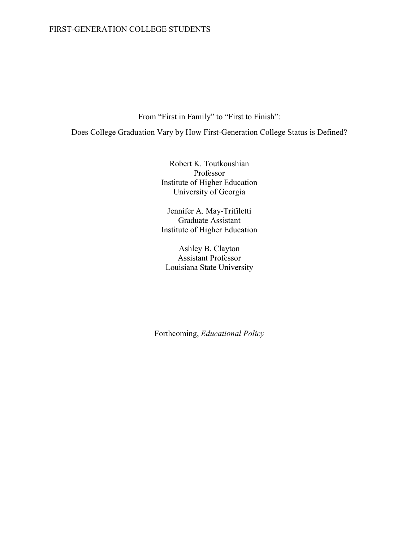From "First in Family" to "First to Finish":

Does College Graduation Vary by How First-Generation College Status is Defined?

Robert K. Toutkoushian Professor Institute of Higher Education University of Georgia

Jennifer A. May-Trifiletti Graduate Assistant Institute of Higher Education

Ashley B. Clayton Assistant Professor Louisiana State University

Forthcoming, *Educational Policy*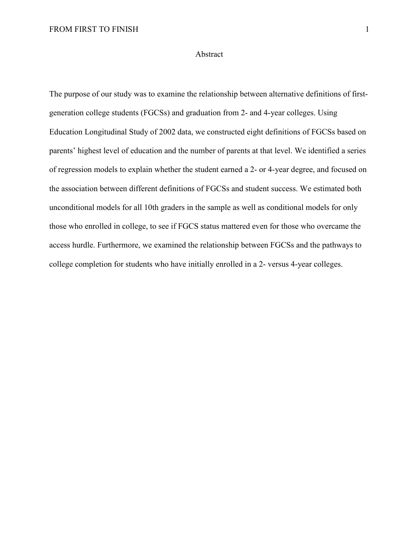#### Abstract

The purpose of our study was to examine the relationship between alternative definitions of firstgeneration college students (FGCSs) and graduation from 2- and 4-year colleges. Using Education Longitudinal Study of 2002 data, we constructed eight definitions of FGCSs based on parents' highest level of education and the number of parents at that level. We identified a series of regression models to explain whether the student earned a 2- or 4-year degree, and focused on the association between different definitions of FGCSs and student success. We estimated both unconditional models for all 10th graders in the sample as well as conditional models for only those who enrolled in college, to see if FGCS status mattered even for those who overcame the access hurdle. Furthermore, we examined the relationship between FGCSs and the pathways to college completion for students who have initially enrolled in a 2- versus 4-year colleges.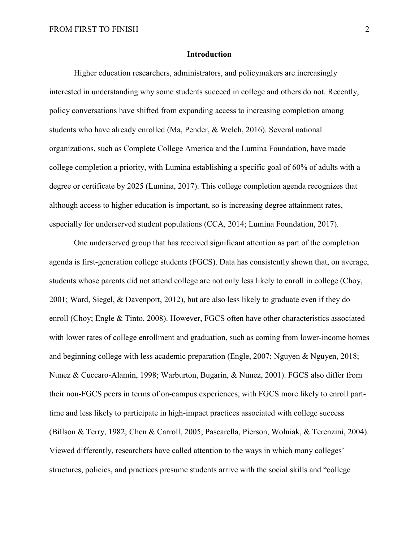#### **Introduction**

Higher education researchers, administrators, and policymakers are increasingly interested in understanding why some students succeed in college and others do not. Recently, policy conversations have shifted from expanding access to increasing completion among students who have already enrolled (Ma, Pender, & Welch, 2016). Several national organizations, such as Complete College America and the Lumina Foundation, have made college completion a priority, with Lumina establishing a specific goal of 60% of adults with a degree or certificate by 2025 (Lumina, 2017). This college completion agenda recognizes that although access to higher education is important, so is increasing degree attainment rates, especially for underserved student populations (CCA, 2014; Lumina Foundation, 2017).

One underserved group that has received significant attention as part of the completion agenda is first-generation college students (FGCS). Data has consistently shown that, on average, students whose parents did not attend college are not only less likely to enroll in college (Choy, 2001; Ward, Siegel, & Davenport, 2012), but are also less likely to graduate even if they do enroll (Choy; Engle & Tinto, 2008). However, FGCS often have other characteristics associated with lower rates of college enrollment and graduation, such as coming from lower-income homes and beginning college with less academic preparation (Engle, 2007; Nguyen & Nguyen, 2018; Nunez & Cuccaro-Alamin, 1998; Warburton, Bugarin, & Nunez, 2001). FGCS also differ from their non-FGCS peers in terms of on-campus experiences, with FGCS more likely to enroll parttime and less likely to participate in high-impact practices associated with college success (Billson & Terry, 1982; Chen & Carroll, 2005; Pascarella, Pierson, Wolniak, & Terenzini, 2004). Viewed differently, researchers have called attention to the ways in which many colleges' structures, policies, and practices presume students arrive with the social skills and "college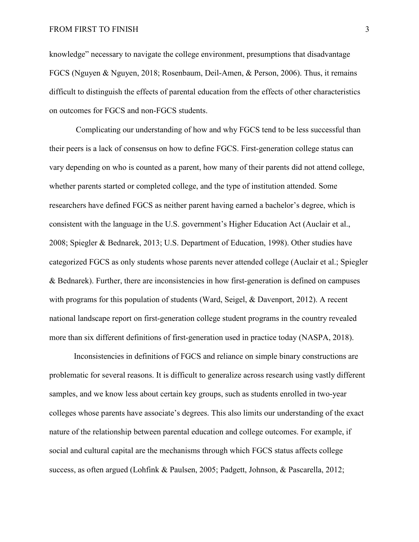knowledge" necessary to navigate the college environment, presumptions that disadvantage FGCS (Nguyen & Nguyen, 2018; Rosenbaum, Deil-Amen, & Person, 2006). Thus, it remains difficult to distinguish the effects of parental education from the effects of other characteristics on outcomes for FGCS and non-FGCS students.

Complicating our understanding of how and why FGCS tend to be less successful than their peers is a lack of consensus on how to define FGCS. First-generation college status can vary depending on who is counted as a parent, how many of their parents did not attend college, whether parents started or completed college, and the type of institution attended. Some researchers have defined FGCS as neither parent having earned a bachelor's degree, which is consistent with the language in the U.S. government's Higher Education Act (Auclair et al., 2008; Spiegler & Bednarek, 2013; U.S. Department of Education, 1998). Other studies have categorized FGCS as only students whose parents never attended college (Auclair et al.; Spiegler & Bednarek). Further, there are inconsistencies in how first-generation is defined on campuses with programs for this population of students (Ward, Seigel, & Davenport, 2012). A recent national landscape report on first-generation college student programs in the country revealed more than six different definitions of first-generation used in practice today (NASPA, 2018).

Inconsistencies in definitions of FGCS and reliance on simple binary constructions are problematic for several reasons. It is difficult to generalize across research using vastly different samples, and we know less about certain key groups, such as students enrolled in two-year colleges whose parents have associate's degrees. This also limits our understanding of the exact nature of the relationship between parental education and college outcomes. For example, if social and cultural capital are the mechanisms through which FGCS status affects college success, as often argued (Lohfink & Paulsen, 2005; Padgett, Johnson, & Pascarella, 2012;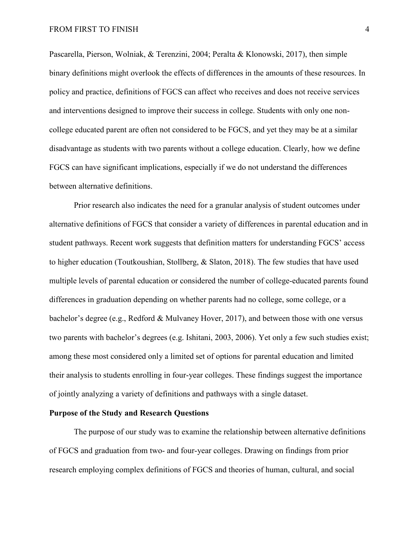Pascarella, Pierson, Wolniak, & Terenzini, 2004; Peralta & Klonowski, 2017), then simple binary definitions might overlook the effects of differences in the amounts of these resources. In policy and practice, definitions of FGCS can affect who receives and does not receive services and interventions designed to improve their success in college. Students with only one noncollege educated parent are often not considered to be FGCS, and yet they may be at a similar disadvantage as students with two parents without a college education. Clearly, how we define FGCS can have significant implications, especially if we do not understand the differences between alternative definitions.

Prior research also indicates the need for a granular analysis of student outcomes under alternative definitions of FGCS that consider a variety of differences in parental education and in student pathways. Recent work suggests that definition matters for understanding FGCS' access to higher education (Toutkoushian, Stollberg, & Slaton, 2018). The few studies that have used multiple levels of parental education or considered the number of college-educated parents found differences in graduation depending on whether parents had no college, some college, or a bachelor's degree (e.g., Redford & Mulvaney Hover, 2017), and between those with one versus two parents with bachelor's degrees (e.g. Ishitani, 2003, 2006). Yet only a few such studies exist; among these most considered only a limited set of options for parental education and limited their analysis to students enrolling in four-year colleges. These findings suggest the importance of jointly analyzing a variety of definitions and pathways with a single dataset.

#### **Purpose of the Study and Research Questions**

The purpose of our study was to examine the relationship between alternative definitions of FGCS and graduation from two- and four-year colleges. Drawing on findings from prior research employing complex definitions of FGCS and theories of human, cultural, and social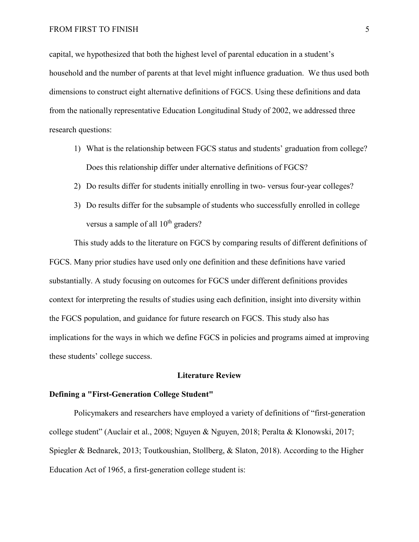#### FROM FIRST TO FINISH 5

capital, we hypothesized that both the highest level of parental education in a student's household and the number of parents at that level might influence graduation. We thus used both dimensions to construct eight alternative definitions of FGCS. Using these definitions and data from the nationally representative Education Longitudinal Study of 2002, we addressed three research questions:

- 1) What is the relationship between FGCS status and students' graduation from college? Does this relationship differ under alternative definitions of FGCS?
- 2) Do results differ for students initially enrolling in two- versus four-year colleges?
- 3) Do results differ for the subsample of students who successfully enrolled in college versus a sample of all  $10^{th}$  graders?

This study adds to the literature on FGCS by comparing results of different definitions of FGCS. Many prior studies have used only one definition and these definitions have varied substantially. A study focusing on outcomes for FGCS under different definitions provides context for interpreting the results of studies using each definition, insight into diversity within the FGCS population, and guidance for future research on FGCS. This study also has implications for the ways in which we define FGCS in policies and programs aimed at improving these students' college success.

#### **Literature Review**

#### **Defining a "First-Generation College Student"**

Policymakers and researchers have employed a variety of definitions of "first-generation college student" (Auclair et al., 2008; Nguyen & Nguyen, 2018; Peralta & Klonowski, 2017; Spiegler & Bednarek, 2013; Toutkoushian, Stollberg, & Slaton, 2018). According to the Higher Education Act of 1965, a first-generation college student is: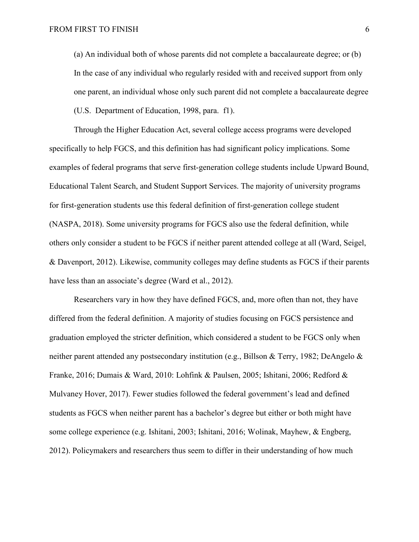(a) An individual both of whose parents did not complete a baccalaureate degree; or (b) In the case of any individual who regularly resided with and received support from only one parent, an individual whose only such parent did not complete a baccalaureate degree (U.S. Department of Education, 1998, para. f1).

Through the Higher Education Act, several college access programs were developed specifically to help FGCS, and this definition has had significant policy implications. Some examples of federal programs that serve first-generation college students include Upward Bound, Educational Talent Search, and Student Support Services. The majority of university programs for first-generation students use this federal definition of first-generation college student (NASPA, 2018). Some university programs for FGCS also use the federal definition, while others only consider a student to be FGCS if neither parent attended college at all (Ward, Seigel, & Davenport, 2012). Likewise, community colleges may define students as FGCS if their parents have less than an associate's degree (Ward et al., 2012).

Researchers vary in how they have defined FGCS, and, more often than not, they have differed from the federal definition. A majority of studies focusing on FGCS persistence and graduation employed the stricter definition, which considered a student to be FGCS only when neither parent attended any postsecondary institution (e.g., Billson & Terry, 1982; DeAngelo & Franke, 2016; Dumais & Ward, 2010: Lohfink & Paulsen, 2005; Ishitani, 2006; Redford & Mulvaney Hover, 2017). Fewer studies followed the federal government's lead and defined students as FGCS when neither parent has a bachelor's degree but either or both might have some college experience (e.g. Ishitani, 2003; Ishitani, 2016; Wolinak, Mayhew, & Engberg, 2012). Policymakers and researchers thus seem to differ in their understanding of how much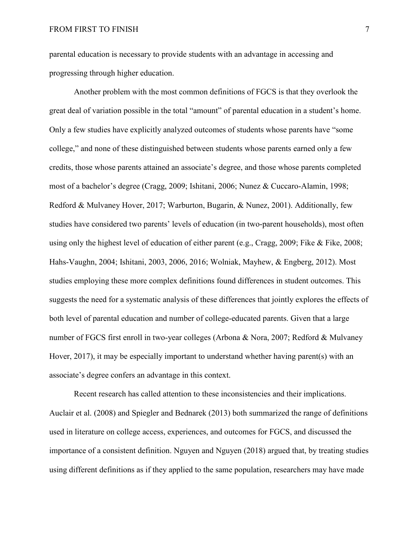parental education is necessary to provide students with an advantage in accessing and progressing through higher education.

Another problem with the most common definitions of FGCS is that they overlook the great deal of variation possible in the total "amount" of parental education in a student's home. Only a few studies have explicitly analyzed outcomes of students whose parents have "some college," and none of these distinguished between students whose parents earned only a few credits, those whose parents attained an associate's degree, and those whose parents completed most of a bachelor's degree (Cragg, 2009; Ishitani, 2006; Nunez & Cuccaro-Alamin, 1998; Redford & Mulvaney Hover, 2017; Warburton, Bugarin, & Nunez, 2001). Additionally, few studies have considered two parents' levels of education (in two-parent households), most often using only the highest level of education of either parent (e.g., Cragg, 2009; Fike & Fike, 2008; Hahs-Vaughn, 2004; Ishitani, 2003, 2006, 2016; Wolniak, Mayhew, & Engberg, 2012). Most studies employing these more complex definitions found differences in student outcomes. This suggests the need for a systematic analysis of these differences that jointly explores the effects of both level of parental education and number of college-educated parents. Given that a large number of FGCS first enroll in two-year colleges (Arbona & Nora, 2007; Redford & Mulvaney Hover, 2017), it may be especially important to understand whether having parent(s) with an associate's degree confers an advantage in this context.

Recent research has called attention to these inconsistencies and their implications. Auclair et al. (2008) and Spiegler and Bednarek (2013) both summarized the range of definitions used in literature on college access, experiences, and outcomes for FGCS, and discussed the importance of a consistent definition. Nguyen and Nguyen (2018) argued that, by treating studies using different definitions as if they applied to the same population, researchers may have made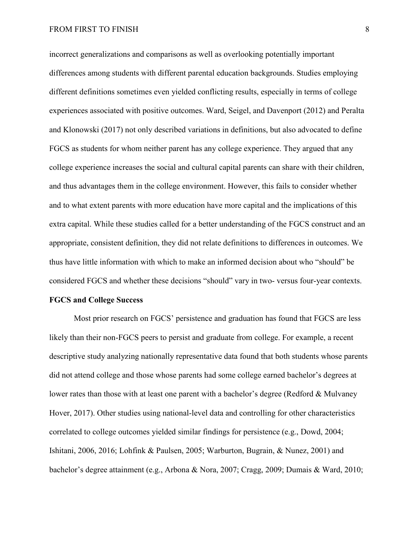#### FROM FIRST TO FINISH 8

incorrect generalizations and comparisons as well as overlooking potentially important differences among students with different parental education backgrounds. Studies employing different definitions sometimes even yielded conflicting results, especially in terms of college experiences associated with positive outcomes. Ward, Seigel, and Davenport (2012) and Peralta and Klonowski (2017) not only described variations in definitions, but also advocated to define FGCS as students for whom neither parent has any college experience. They argued that any college experience increases the social and cultural capital parents can share with their children, and thus advantages them in the college environment. However, this fails to consider whether and to what extent parents with more education have more capital and the implications of this extra capital. While these studies called for a better understanding of the FGCS construct and an appropriate, consistent definition, they did not relate definitions to differences in outcomes. We thus have little information with which to make an informed decision about who "should" be considered FGCS and whether these decisions "should" vary in two- versus four-year contexts.

#### **FGCS and College Success**

Most prior research on FGCS' persistence and graduation has found that FGCS are less likely than their non-FGCS peers to persist and graduate from college. For example, a recent descriptive study analyzing nationally representative data found that both students whose parents did not attend college and those whose parents had some college earned bachelor's degrees at lower rates than those with at least one parent with a bachelor's degree (Redford & Mulvaney Hover, 2017). Other studies using national-level data and controlling for other characteristics correlated to college outcomes yielded similar findings for persistence (e.g., Dowd, 2004; Ishitani, 2006, 2016; Lohfink & Paulsen, 2005; Warburton, Bugrain, & Nunez, 2001) and bachelor's degree attainment (e.g., Arbona & Nora, 2007; Cragg, 2009; Dumais & Ward, 2010;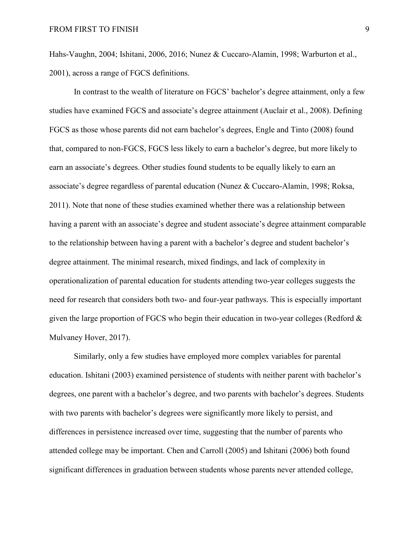Hahs-Vaughn, 2004; Ishitani, 2006, 2016; Nunez & Cuccaro-Alamin, 1998; Warburton et al., 2001), across a range of FGCS definitions.

In contrast to the wealth of literature on FGCS' bachelor's degree attainment, only a few studies have examined FGCS and associate's degree attainment (Auclair et al., 2008). Defining FGCS as those whose parents did not earn bachelor's degrees, Engle and Tinto (2008) found that, compared to non-FGCS, FGCS less likely to earn a bachelor's degree, but more likely to earn an associate's degrees. Other studies found students to be equally likely to earn an associate's degree regardless of parental education (Nunez & Cuccaro-Alamin, 1998; Roksa, 2011). Note that none of these studies examined whether there was a relationship between having a parent with an associate's degree and student associate's degree attainment comparable to the relationship between having a parent with a bachelor's degree and student bachelor's degree attainment. The minimal research, mixed findings, and lack of complexity in operationalization of parental education for students attending two-year colleges suggests the need for research that considers both two- and four-year pathways. This is especially important given the large proportion of FGCS who begin their education in two-year colleges (Redford & Mulvaney Hover, 2017).

Similarly, only a few studies have employed more complex variables for parental education. Ishitani (2003) examined persistence of students with neither parent with bachelor's degrees, one parent with a bachelor's degree, and two parents with bachelor's degrees. Students with two parents with bachelor's degrees were significantly more likely to persist, and differences in persistence increased over time, suggesting that the number of parents who attended college may be important. Chen and Carroll (2005) and Ishitani (2006) both found significant differences in graduation between students whose parents never attended college,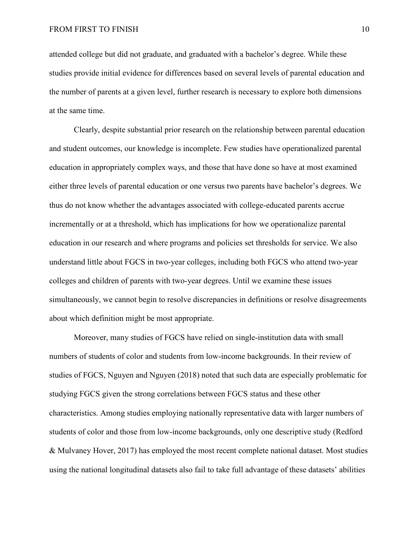attended college but did not graduate, and graduated with a bachelor's degree. While these studies provide initial evidence for differences based on several levels of parental education and the number of parents at a given level, further research is necessary to explore both dimensions at the same time.

Clearly, despite substantial prior research on the relationship between parental education and student outcomes, our knowledge is incomplete. Few studies have operationalized parental education in appropriately complex ways, and those that have done so have at most examined either three levels of parental education or one versus two parents have bachelor's degrees. We thus do not know whether the advantages associated with college-educated parents accrue incrementally or at a threshold, which has implications for how we operationalize parental education in our research and where programs and policies set thresholds for service. We also understand little about FGCS in two-year colleges, including both FGCS who attend two-year colleges and children of parents with two-year degrees. Until we examine these issues simultaneously, we cannot begin to resolve discrepancies in definitions or resolve disagreements about which definition might be most appropriate.

Moreover, many studies of FGCS have relied on single-institution data with small numbers of students of color and students from low-income backgrounds. In their review of studies of FGCS, Nguyen and Nguyen (2018) noted that such data are especially problematic for studying FGCS given the strong correlations between FGCS status and these other characteristics. Among studies employing nationally representative data with larger numbers of students of color and those from low-income backgrounds, only one descriptive study (Redford & Mulvaney Hover, 2017) has employed the most recent complete national dataset. Most studies using the national longitudinal datasets also fail to take full advantage of these datasets' abilities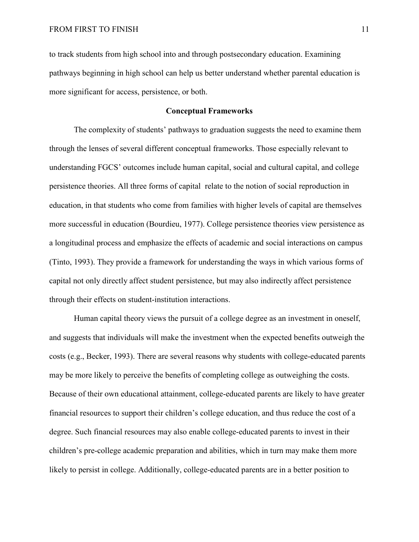to track students from high school into and through postsecondary education. Examining pathways beginning in high school can help us better understand whether parental education is more significant for access, persistence, or both.

#### **Conceptual Frameworks**

 The complexity of students' pathways to graduation suggests the need to examine them through the lenses of several different conceptual frameworks. Those especially relevant to understanding FGCS' outcomes include human capital, social and cultural capital, and college persistence theories. All three forms of capital relate to the notion of social reproduction in education, in that students who come from families with higher levels of capital are themselves more successful in education (Bourdieu, 1977). College persistence theories view persistence as a longitudinal process and emphasize the effects of academic and social interactions on campus (Tinto, 1993). They provide a framework for understanding the ways in which various forms of capital not only directly affect student persistence, but may also indirectly affect persistence through their effects on student-institution interactions.

 Human capital theory views the pursuit of a college degree as an investment in oneself, and suggests that individuals will make the investment when the expected benefits outweigh the costs (e.g., Becker, 1993). There are several reasons why students with college-educated parents may be more likely to perceive the benefits of completing college as outweighing the costs. Because of their own educational attainment, college-educated parents are likely to have greater financial resources to support their children's college education, and thus reduce the cost of a degree. Such financial resources may also enable college-educated parents to invest in their children's pre-college academic preparation and abilities, which in turn may make them more likely to persist in college. Additionally, college-educated parents are in a better position to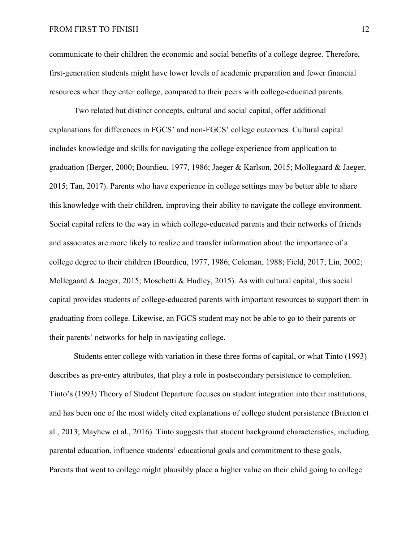#### FROM FIRST TO FINISH 12

communicate to their children the economic and social benefits of a college degree. Therefore, first-generation students might have lower levels of academic preparation and fewer financial resources when they enter college, compared to their peers with college-educated parents.

 Two related but distinct concepts, cultural and social capital, offer additional explanations for differences in FGCS' and non-FGCS' college outcomes. Cultural capital includes knowledge and skills for navigating the college experience from application to graduation (Berger, 2000; Bourdieu, 1977, 1986; Jaeger & Karlson, 2015; Mollegaard & Jaeger, 2015; Tan, 2017). Parents who have experience in college settings may be better able to share this knowledge with their children, improving their ability to navigate the college environment. Social capital refers to the way in which college-educated parents and their networks of friends and associates are more likely to realize and transfer information about the importance of a college degree to their children (Bourdieu, 1977, 1986; Coleman, 1988; Field, 2017; Lin, 2002; Mollegaard & Jaeger, 2015; Moschetti & Hudley, 2015). As with cultural capital, this social capital provides students of college-educated parents with important resources to support them in graduating from college. Likewise, an FGCS student may not be able to go to their parents or their parents' networks for help in navigating college.

Students enter college with variation in these three forms of capital, or what Tinto (1993) describes as pre-entry attributes, that play a role in postsecondary persistence to completion. Tinto's (1993) Theory of Student Departure focuses on student integration into their institutions, and has been one of the most widely cited explanations of college student persistence (Braxton et al., 2013; Mayhew et al., 2016). Tinto suggests that student background characteristics, including parental education, influence students' educational goals and commitment to these goals. Parents that went to college might plausibly place a higher value on their child going to college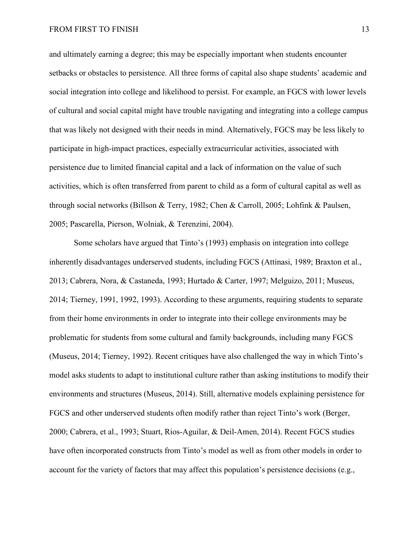and ultimately earning a degree; this may be especially important when students encounter setbacks or obstacles to persistence. All three forms of capital also shape students' academic and social integration into college and likelihood to persist. For example, an FGCS with lower levels of cultural and social capital might have trouble navigating and integrating into a college campus that was likely not designed with their needs in mind. Alternatively, FGCS may be less likely to participate in high-impact practices, especially extracurricular activities, associated with persistence due to limited financial capital and a lack of information on the value of such activities, which is often transferred from parent to child as a form of cultural capital as well as through social networks (Billson & Terry, 1982; Chen & Carroll, 2005; Lohfink & Paulsen, 2005; Pascarella, Pierson, Wolniak, & Terenzini, 2004).

 Some scholars have argued that Tinto's (1993) emphasis on integration into college inherently disadvantages underserved students, including FGCS (Attinasi, 1989; Braxton et al., 2013; Cabrera, Nora, & Castaneda, 1993; Hurtado & Carter, 1997; Melguizo, 2011; Museus, 2014; Tierney, 1991, 1992, 1993). According to these arguments, requiring students to separate from their home environments in order to integrate into their college environments may be problematic for students from some cultural and family backgrounds, including many FGCS (Museus, 2014; Tierney, 1992). Recent critiques have also challenged the way in which Tinto's model asks students to adapt to institutional culture rather than asking institutions to modify their environments and structures (Museus, 2014). Still, alternative models explaining persistence for FGCS and other underserved students often modify rather than reject Tinto's work (Berger, 2000; Cabrera, et al., 1993; Stuart, Rios-Aguilar, & Deil-Amen, 2014). Recent FGCS studies have often incorporated constructs from Tinto's model as well as from other models in order to account for the variety of factors that may affect this population's persistence decisions (e.g.,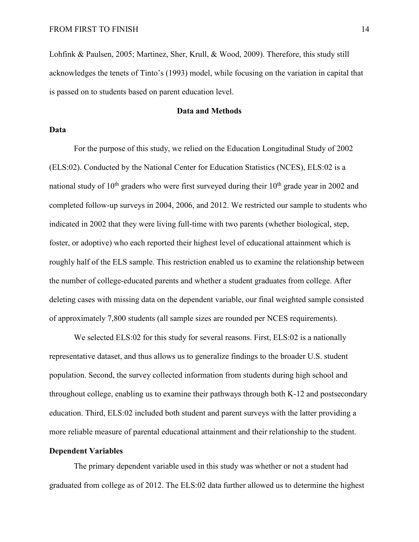Lohfink & Paulsen, 2005; Martinez, Sher, Krull, & Wood, 2009). Therefore, this study still acknowledges the tenets of Tinto's (1993) model, while focusing on the variation in capital that is passed on to students based on parent education level.

#### **Data and Methods**

#### **Data**

For the purpose of this study, we relied on the Education Longitudinal Study of 2002 (ELS:02). Conducted by the National Center for Education Statistics (NCES), ELS:02 is a national study of  $10<sup>th</sup>$  graders who were first surveyed during their  $10<sup>th</sup>$  grade year in 2002 and completed follow-up surveys in 2004, 2006, and 2012. We restricted our sample to students who indicated in 2002 that they were living full-time with two parents (whether biological, step, foster, or adoptive) who each reported their highest level of educational attainment which is roughly half of the ELS sample. This restriction enabled us to examine the relationship between the number of college-educated parents and whether a student graduates from college. After deleting cases with missing data on the dependent variable, our final weighted sample consisted of approximately 7,800 students (all sample sizes are rounded per NCES requirements).

We selected ELS:02 for this study for several reasons. First, ELS:02 is a nationally representative dataset, and thus allows us to generalize findings to the broader U.S. student population. Second, the survey collected information from students during high school and throughout college, enabling us to examine their pathways through both K-12 and postsecondary education. Third, ELS:02 included both student and parent surveys with the latter providing a more reliable measure of parental educational attainment and their relationship to the student.

#### **Dependent Variables**

The primary dependent variable used in this study was whether or not a student had graduated from college as of 2012. The ELS:02 data further allowed us to determine the highest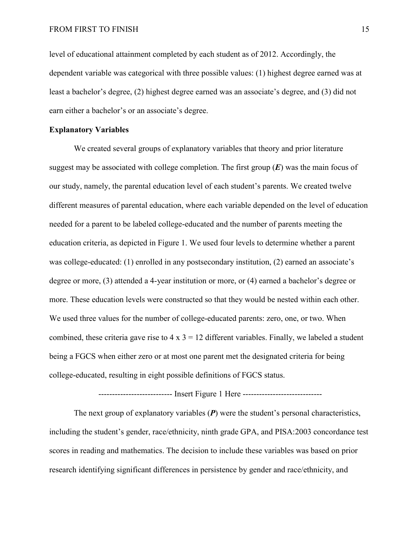level of educational attainment completed by each student as of 2012. Accordingly, the dependent variable was categorical with three possible values: (1) highest degree earned was at least a bachelor's degree, (2) highest degree earned was an associate's degree, and (3) did not earn either a bachelor's or an associate's degree.

#### **Explanatory Variables**

We created several groups of explanatory variables that theory and prior literature suggest may be associated with college completion. The first group (*E*) was the main focus of our study, namely, the parental education level of each student's parents. We created twelve different measures of parental education, where each variable depended on the level of education needed for a parent to be labeled college-educated and the number of parents meeting the education criteria, as depicted in Figure 1. We used four levels to determine whether a parent was college-educated: (1) enrolled in any postsecondary institution, (2) earned an associate's degree or more, (3) attended a 4-year institution or more, or (4) earned a bachelor's degree or more. These education levels were constructed so that they would be nested within each other. We used three values for the number of college-educated parents: zero, one, or two. When combined, these criteria gave rise to  $4 \times 3 = 12$  different variables. Finally, we labeled a student being a FGCS when either zero or at most one parent met the designated criteria for being college-educated, resulting in eight possible definitions of FGCS status.

----------------------------- Insert Figure 1 Here ------------------------------

The next group of explanatory variables (*P*) were the student's personal characteristics, including the student's gender, race/ethnicity, ninth grade GPA, and PISA:2003 concordance test scores in reading and mathematics. The decision to include these variables was based on prior research identifying significant differences in persistence by gender and race/ethnicity, and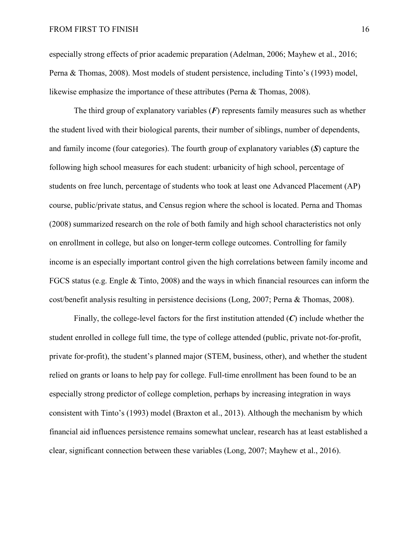especially strong effects of prior academic preparation (Adelman, 2006; Mayhew et al., 2016; Perna & Thomas, 2008). Most models of student persistence, including Tinto's (1993) model, likewise emphasize the importance of these attributes (Perna & Thomas, 2008).

The third group of explanatory variables (*F*) represents family measures such as whether the student lived with their biological parents, their number of siblings, number of dependents, and family income (four categories). The fourth group of explanatory variables (*S*) capture the following high school measures for each student: urbanicity of high school, percentage of students on free lunch, percentage of students who took at least one Advanced Placement (AP) course, public/private status, and Census region where the school is located. Perna and Thomas (2008) summarized research on the role of both family and high school characteristics not only on enrollment in college, but also on longer-term college outcomes. Controlling for family income is an especially important control given the high correlations between family income and FGCS status (e.g. Engle & Tinto, 2008) and the ways in which financial resources can inform the cost/benefit analysis resulting in persistence decisions (Long, 2007; Perna & Thomas, 2008).

Finally, the college-level factors for the first institution attended (*C*) include whether the student enrolled in college full time, the type of college attended (public, private not-for-profit, private for-profit), the student's planned major (STEM, business, other), and whether the student relied on grants or loans to help pay for college. Full-time enrollment has been found to be an especially strong predictor of college completion, perhaps by increasing integration in ways consistent with Tinto's (1993) model (Braxton et al., 2013). Although the mechanism by which financial aid influences persistence remains somewhat unclear, research has at least established a clear, significant connection between these variables (Long, 2007; Mayhew et al., 2016).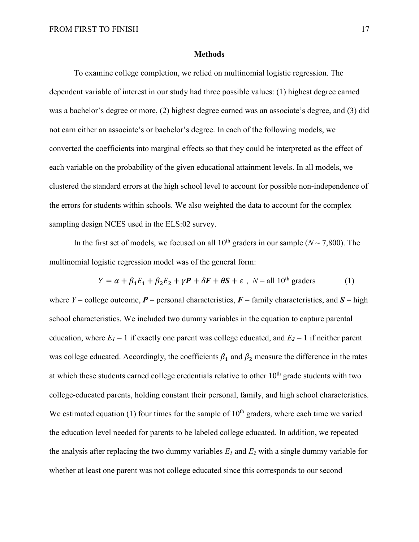#### **Methods**

To examine college completion, we relied on multinomial logistic regression. The dependent variable of interest in our study had three possible values: (1) highest degree earned was a bachelor's degree or more, (2) highest degree earned was an associate's degree, and (3) did not earn either an associate's or bachelor's degree. In each of the following models, we converted the coefficients into marginal effects so that they could be interpreted as the effect of each variable on the probability of the given educational attainment levels. In all models, we clustered the standard errors at the high school level to account for possible non-independence of the errors for students within schools. We also weighted the data to account for the complex sampling design NCES used in the ELS:02 survey.

In the first set of models, we focused on all  $10^{th}$  graders in our sample ( $N \sim 7,800$ ). The multinomial logistic regression model was of the general form:

$$
Y = \alpha + \beta_1 E_1 + \beta_2 E_2 + \gamma \mathbf{P} + \delta \mathbf{F} + \theta \mathbf{S} + \varepsilon \ , \ N = \text{all } 10^{\text{th}} \text{ graders} \tag{1}
$$

where  $Y =$  college outcome,  $P =$  personal characteristics,  $F =$  family characteristics, and  $S =$  high school characteristics. We included two dummy variables in the equation to capture parental education, where  $E_1 = 1$  if exactly one parent was college educated, and  $E_2 = 1$  if neither parent was college educated. Accordingly, the coefficients  $\beta_1$  and  $\beta_2$  measure the difference in the rates at which these students earned college credentials relative to other  $10<sup>th</sup>$  grade students with two college-educated parents, holding constant their personal, family, and high school characteristics. We estimated equation (1) four times for the sample of  $10<sup>th</sup>$  graders, where each time we varied the education level needed for parents to be labeled college educated. In addition, we repeated the analysis after replacing the two dummy variables  $E_l$  and  $E_2$  with a single dummy variable for whether at least one parent was not college educated since this corresponds to our second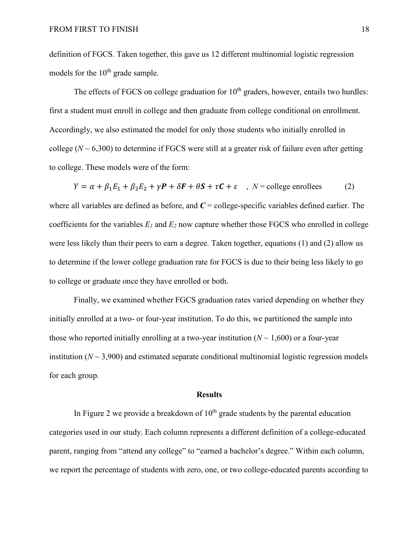definition of FGCS. Taken together, this gave us 12 different multinomial logistic regression models for the  $10<sup>th</sup>$  grade sample.

The effects of FGCS on college graduation for  $10<sup>th</sup>$  graders, however, entails two hurdles: first a student must enroll in college and then graduate from college conditional on enrollment. Accordingly, we also estimated the model for only those students who initially enrolled in college  $(N \sim 6,300)$  to determine if FGCS were still at a greater risk of failure even after getting to college. These models were of the form:

 $Y = \alpha + \beta_1 E_1 + \beta_2 E_2 + \gamma P + \delta F + \theta S + \tau C + \varepsilon$ ,  $N =$  college enrollees (2) where all variables are defined as before, and  $C =$  college-specific variables defined earlier. The coefficients for the variables  $E_l$  and  $E_2$  now capture whether those FGCS who enrolled in college were less likely than their peers to earn a degree. Taken together, equations (1) and (2) allow us to determine if the lower college graduation rate for FGCS is due to their being less likely to go to college or graduate once they have enrolled or both.

Finally, we examined whether FGCS graduation rates varied depending on whether they initially enrolled at a two- or four-year institution. To do this, we partitioned the sample into those who reported initially enrolling at a two-year institution  $(N \sim 1,600)$  or a four-year institution  $(N \sim 3,900)$  and estimated separate conditional multinomial logistic regression models for each group.

#### **Results**

In Figure 2 we provide a breakdown of  $10<sup>th</sup>$  grade students by the parental education categories used in our study. Each column represents a different definition of a college-educated parent, ranging from "attend any college" to "earned a bachelor's degree." Within each column, we report the percentage of students with zero, one, or two college-educated parents according to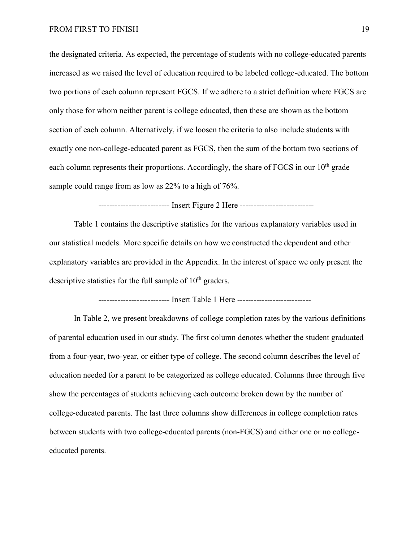the designated criteria. As expected, the percentage of students with no college-educated parents increased as we raised the level of education required to be labeled college-educated. The bottom two portions of each column represent FGCS. If we adhere to a strict definition where FGCS are only those for whom neither parent is college educated, then these are shown as the bottom section of each column. Alternatively, if we loosen the criteria to also include students with exactly one non-college-educated parent as FGCS, then the sum of the bottom two sections of each column represents their proportions. Accordingly, the share of FGCS in our  $10<sup>th</sup>$  grade sample could range from as low as 22% to a high of 76%.

--------------------------- Insert Figure 2 Here ------------------------------

Table 1 contains the descriptive statistics for the various explanatory variables used in our statistical models. More specific details on how we constructed the dependent and other explanatory variables are provided in the Appendix. In the interest of space we only present the descriptive statistics for the full sample of  $10<sup>th</sup>$  graders.

-------------------------- Insert Table 1 Here -----------------------------

In Table 2, we present breakdowns of college completion rates by the various definitions of parental education used in our study. The first column denotes whether the student graduated from a four-year, two-year, or either type of college. The second column describes the level of education needed for a parent to be categorized as college educated. Columns three through five show the percentages of students achieving each outcome broken down by the number of college-educated parents. The last three columns show differences in college completion rates between students with two college-educated parents (non-FGCS) and either one or no collegeeducated parents.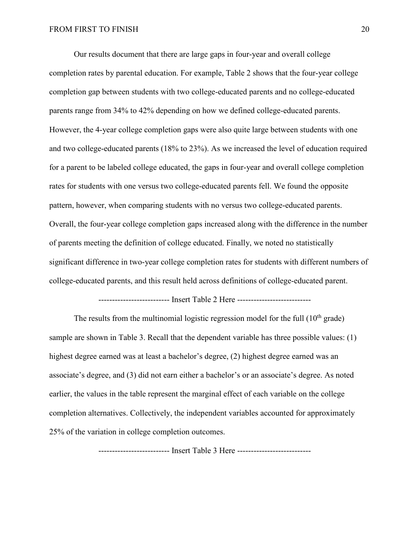Our results document that there are large gaps in four-year and overall college completion rates by parental education. For example, Table 2 shows that the four-year college completion gap between students with two college-educated parents and no college-educated parents range from 34% to 42% depending on how we defined college-educated parents. However, the 4-year college completion gaps were also quite large between students with one and two college-educated parents (18% to 23%). As we increased the level of education required for a parent to be labeled college educated, the gaps in four-year and overall college completion rates for students with one versus two college-educated parents fell. We found the opposite pattern, however, when comparing students with no versus two college-educated parents. Overall, the four-year college completion gaps increased along with the difference in the number of parents meeting the definition of college educated. Finally, we noted no statistically significant difference in two-year college completion rates for students with different numbers of college-educated parents, and this result held across definitions of college-educated parent.

-------------------------- Insert Table 2 Here -----------------------------

The results from the multinomial logistic regression model for the full  $(10<sup>th</sup> \text{ grade})$ sample are shown in Table 3. Recall that the dependent variable has three possible values: (1) highest degree earned was at least a bachelor's degree, (2) highest degree earned was an associate's degree, and (3) did not earn either a bachelor's or an associate's degree. As noted earlier, the values in the table represent the marginal effect of each variable on the college completion alternatives. Collectively, the independent variables accounted for approximately 25% of the variation in college completion outcomes.

-------------------------- Insert Table 3 Here -----------------------------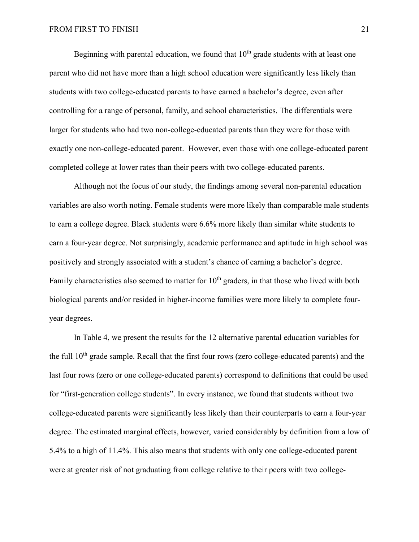Beginning with parental education, we found that  $10<sup>th</sup>$  grade students with at least one parent who did not have more than a high school education were significantly less likely than students with two college-educated parents to have earned a bachelor's degree, even after controlling for a range of personal, family, and school characteristics. The differentials were larger for students who had two non-college-educated parents than they were for those with exactly one non-college-educated parent. However, even those with one college-educated parent completed college at lower rates than their peers with two college-educated parents.

Although not the focus of our study, the findings among several non-parental education variables are also worth noting. Female students were more likely than comparable male students to earn a college degree. Black students were 6.6% more likely than similar white students to earn a four-year degree. Not surprisingly, academic performance and aptitude in high school was positively and strongly associated with a student's chance of earning a bachelor's degree. Family characteristics also seemed to matter for  $10<sup>th</sup>$  graders, in that those who lived with both biological parents and/or resided in higher-income families were more likely to complete fouryear degrees.

In Table 4, we present the results for the 12 alternative parental education variables for the full  $10<sup>th</sup>$  grade sample. Recall that the first four rows (zero college-educated parents) and the last four rows (zero or one college-educated parents) correspond to definitions that could be used for "first-generation college students". In every instance, we found that students without two college-educated parents were significantly less likely than their counterparts to earn a four-year degree. The estimated marginal effects, however, varied considerably by definition from a low of 5.4% to a high of 11.4%. This also means that students with only one college-educated parent were at greater risk of not graduating from college relative to their peers with two college-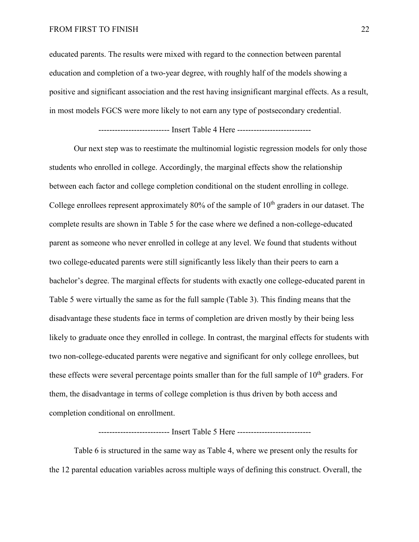#### FROM FIRST TO FINISH 22

educated parents. The results were mixed with regard to the connection between parental education and completion of a two-year degree, with roughly half of the models showing a positive and significant association and the rest having insignificant marginal effects. As a result, in most models FGCS were more likely to not earn any type of postsecondary credential.

--------------------------------- Insert Table 4 Here ----------------------------

Our next step was to reestimate the multinomial logistic regression models for only those students who enrolled in college. Accordingly, the marginal effects show the relationship between each factor and college completion conditional on the student enrolling in college. College enrollees represent approximately 80% of the sample of  $10<sup>th</sup>$  graders in our dataset. The complete results are shown in Table 5 for the case where we defined a non-college-educated parent as someone who never enrolled in college at any level. We found that students without two college-educated parents were still significantly less likely than their peers to earn a bachelor's degree. The marginal effects for students with exactly one college-educated parent in Table 5 were virtually the same as for the full sample (Table 3). This finding means that the disadvantage these students face in terms of completion are driven mostly by their being less likely to graduate once they enrolled in college. In contrast, the marginal effects for students with two non-college-educated parents were negative and significant for only college enrollees, but these effects were several percentage points smaller than for the full sample of  $10<sup>th</sup>$  graders. For them, the disadvantage in terms of college completion is thus driven by both access and completion conditional on enrollment.

-------------------------- Insert Table 5 Here -----------------------------

Table 6 is structured in the same way as Table 4, where we present only the results for the 12 parental education variables across multiple ways of defining this construct. Overall, the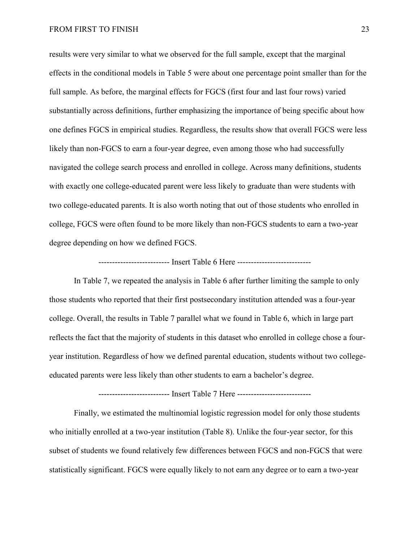#### FROM FIRST TO FINISH 23

results were very similar to what we observed for the full sample, except that the marginal effects in the conditional models in Table 5 were about one percentage point smaller than for the full sample. As before, the marginal effects for FGCS (first four and last four rows) varied substantially across definitions, further emphasizing the importance of being specific about how one defines FGCS in empirical studies. Regardless, the results show that overall FGCS were less likely than non-FGCS to earn a four-year degree, even among those who had successfully navigated the college search process and enrolled in college. Across many definitions, students with exactly one college-educated parent were less likely to graduate than were students with two college-educated parents. It is also worth noting that out of those students who enrolled in college, FGCS were often found to be more likely than non-FGCS students to earn a two-year degree depending on how we defined FGCS.

--------------------------- Insert Table 6 Here -------------------------------

In Table 7, we repeated the analysis in Table 6 after further limiting the sample to only those students who reported that their first postsecondary institution attended was a four-year college. Overall, the results in Table 7 parallel what we found in Table 6, which in large part reflects the fact that the majority of students in this dataset who enrolled in college chose a fouryear institution. Regardless of how we defined parental education, students without two collegeeducated parents were less likely than other students to earn a bachelor's degree.

-------------------------- Insert Table 7 Here -----------------------------

Finally, we estimated the multinomial logistic regression model for only those students who initially enrolled at a two-year institution (Table 8). Unlike the four-year sector, for this subset of students we found relatively few differences between FGCS and non-FGCS that were statistically significant. FGCS were equally likely to not earn any degree or to earn a two-year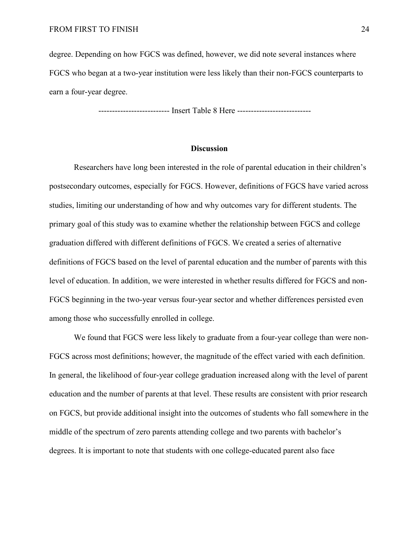degree. Depending on how FGCS was defined, however, we did note several instances where FGCS who began at a two-year institution were less likely than their non-FGCS counterparts to earn a four-year degree.

-------------------------- Insert Table 8 Here -----------------------------

#### **Discussion**

 Researchers have long been interested in the role of parental education in their children's postsecondary outcomes, especially for FGCS. However, definitions of FGCS have varied across studies, limiting our understanding of how and why outcomes vary for different students. The primary goal of this study was to examine whether the relationship between FGCS and college graduation differed with different definitions of FGCS. We created a series of alternative definitions of FGCS based on the level of parental education and the number of parents with this level of education. In addition, we were interested in whether results differed for FGCS and non-FGCS beginning in the two-year versus four-year sector and whether differences persisted even among those who successfully enrolled in college.

We found that FGCS were less likely to graduate from a four-year college than were non-FGCS across most definitions; however, the magnitude of the effect varied with each definition. In general, the likelihood of four-year college graduation increased along with the level of parent education and the number of parents at that level. These results are consistent with prior research on FGCS, but provide additional insight into the outcomes of students who fall somewhere in the middle of the spectrum of zero parents attending college and two parents with bachelor's degrees. It is important to note that students with one college-educated parent also face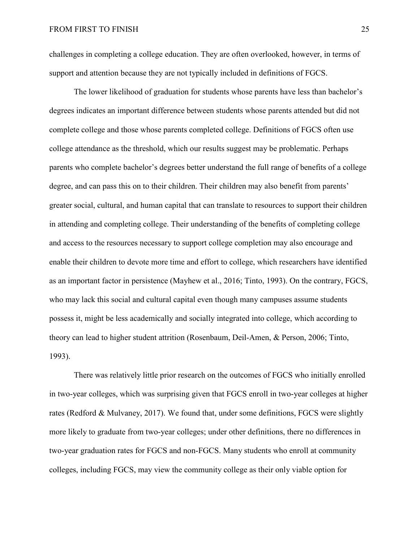challenges in completing a college education. They are often overlooked, however, in terms of support and attention because they are not typically included in definitions of FGCS.

The lower likelihood of graduation for students whose parents have less than bachelor's degrees indicates an important difference between students whose parents attended but did not complete college and those whose parents completed college. Definitions of FGCS often use college attendance as the threshold, which our results suggest may be problematic. Perhaps parents who complete bachelor's degrees better understand the full range of benefits of a college degree, and can pass this on to their children. Their children may also benefit from parents' greater social, cultural, and human capital that can translate to resources to support their children in attending and completing college. Their understanding of the benefits of completing college and access to the resources necessary to support college completion may also encourage and enable their children to devote more time and effort to college, which researchers have identified as an important factor in persistence (Mayhew et al., 2016; Tinto, 1993). On the contrary, FGCS, who may lack this social and cultural capital even though many campuses assume students possess it, might be less academically and socially integrated into college, which according to theory can lead to higher student attrition (Rosenbaum, Deil-Amen, & Person, 2006; Tinto, 1993).

There was relatively little prior research on the outcomes of FGCS who initially enrolled in two-year colleges, which was surprising given that FGCS enroll in two-year colleges at higher rates (Redford & Mulvaney, 2017). We found that, under some definitions, FGCS were slightly more likely to graduate from two-year colleges; under other definitions, there no differences in two-year graduation rates for FGCS and non-FGCS. Many students who enroll at community colleges, including FGCS, may view the community college as their only viable option for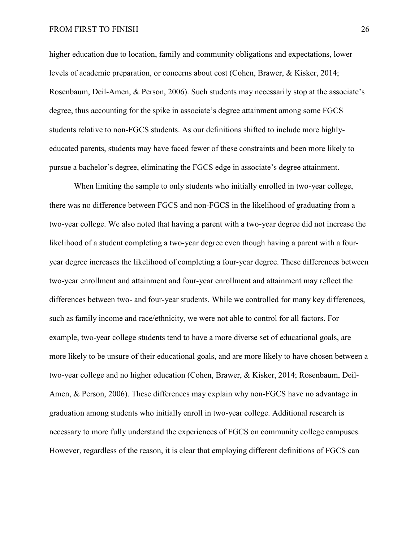#### FROM FIRST TO FINISH 26

higher education due to location, family and community obligations and expectations, lower levels of academic preparation, or concerns about cost (Cohen, Brawer, & Kisker, 2014; Rosenbaum, Deil-Amen, & Person, 2006). Such students may necessarily stop at the associate's degree, thus accounting for the spike in associate's degree attainment among some FGCS students relative to non-FGCS students. As our definitions shifted to include more highlyeducated parents, students may have faced fewer of these constraints and been more likely to pursue a bachelor's degree, eliminating the FGCS edge in associate's degree attainment.

When limiting the sample to only students who initially enrolled in two-year college, there was no difference between FGCS and non-FGCS in the likelihood of graduating from a two-year college. We also noted that having a parent with a two-year degree did not increase the likelihood of a student completing a two-year degree even though having a parent with a fouryear degree increases the likelihood of completing a four-year degree. These differences between two-year enrollment and attainment and four-year enrollment and attainment may reflect the differences between two- and four-year students. While we controlled for many key differences, such as family income and race/ethnicity, we were not able to control for all factors. For example, two-year college students tend to have a more diverse set of educational goals, are more likely to be unsure of their educational goals, and are more likely to have chosen between a two-year college and no higher education (Cohen, Brawer, & Kisker, 2014; Rosenbaum, Deil-Amen, & Person, 2006). These differences may explain why non-FGCS have no advantage in graduation among students who initially enroll in two-year college. Additional research is necessary to more fully understand the experiences of FGCS on community college campuses. However, regardless of the reason, it is clear that employing different definitions of FGCS can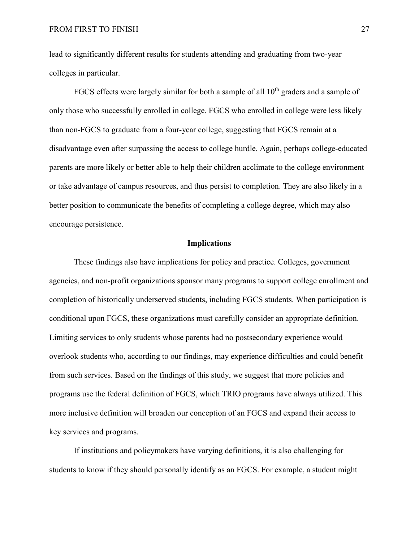lead to significantly different results for students attending and graduating from two-year colleges in particular.

FGCS effects were largely similar for both a sample of all  $10<sup>th</sup>$  graders and a sample of only those who successfully enrolled in college. FGCS who enrolled in college were less likely than non-FGCS to graduate from a four-year college, suggesting that FGCS remain at a disadvantage even after surpassing the access to college hurdle. Again, perhaps college-educated parents are more likely or better able to help their children acclimate to the college environment or take advantage of campus resources, and thus persist to completion. They are also likely in a better position to communicate the benefits of completing a college degree, which may also encourage persistence.

#### **Implications**

These findings also have implications for policy and practice. Colleges, government agencies, and non-profit organizations sponsor many programs to support college enrollment and completion of historically underserved students, including FGCS students. When participation is conditional upon FGCS, these organizations must carefully consider an appropriate definition. Limiting services to only students whose parents had no postsecondary experience would overlook students who, according to our findings, may experience difficulties and could benefit from such services. Based on the findings of this study, we suggest that more policies and programs use the federal definition of FGCS, which TRIO programs have always utilized. This more inclusive definition will broaden our conception of an FGCS and expand their access to key services and programs.

If institutions and policymakers have varying definitions, it is also challenging for students to know if they should personally identify as an FGCS. For example, a student might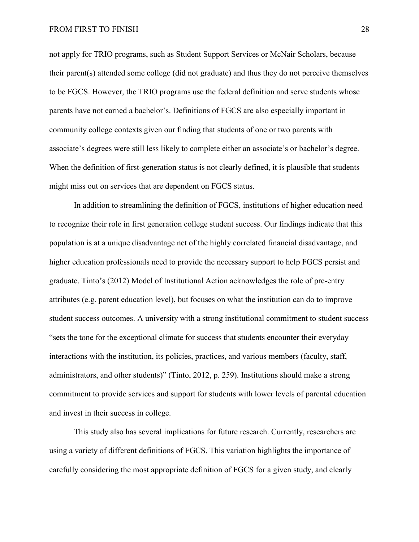not apply for TRIO programs, such as Student Support Services or McNair Scholars, because their parent(s) attended some college (did not graduate) and thus they do not perceive themselves to be FGCS. However, the TRIO programs use the federal definition and serve students whose parents have not earned a bachelor's. Definitions of FGCS are also especially important in community college contexts given our finding that students of one or two parents with associate's degrees were still less likely to complete either an associate's or bachelor's degree. When the definition of first-generation status is not clearly defined, it is plausible that students might miss out on services that are dependent on FGCS status.

In addition to streamlining the definition of FGCS, institutions of higher education need to recognize their role in first generation college student success. Our findings indicate that this population is at a unique disadvantage net of the highly correlated financial disadvantage, and higher education professionals need to provide the necessary support to help FGCS persist and graduate. Tinto's (2012) Model of Institutional Action acknowledges the role of pre-entry attributes (e.g. parent education level), but focuses on what the institution can do to improve student success outcomes. A university with a strong institutional commitment to student success "sets the tone for the exceptional climate for success that students encounter their everyday interactions with the institution, its policies, practices, and various members (faculty, staff, administrators, and other students)" (Tinto, 2012, p. 259). Institutions should make a strong commitment to provide services and support for students with lower levels of parental education and invest in their success in college.

This study also has several implications for future research. Currently, researchers are using a variety of different definitions of FGCS. This variation highlights the importance of carefully considering the most appropriate definition of FGCS for a given study, and clearly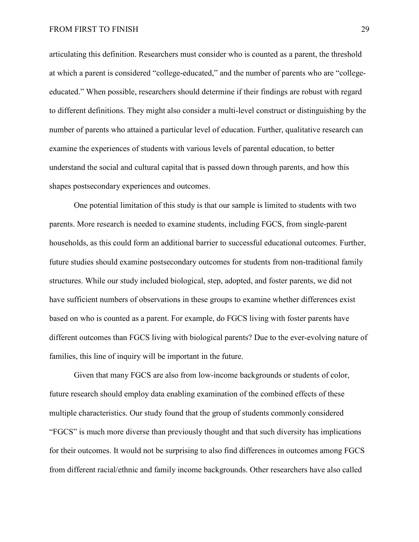#### FROM FIRST TO FINISH 29

articulating this definition. Researchers must consider who is counted as a parent, the threshold at which a parent is considered "college-educated," and the number of parents who are "collegeeducated." When possible, researchers should determine if their findings are robust with regard to different definitions. They might also consider a multi-level construct or distinguishing by the number of parents who attained a particular level of education. Further, qualitative research can examine the experiences of students with various levels of parental education, to better understand the social and cultural capital that is passed down through parents, and how this shapes postsecondary experiences and outcomes.

One potential limitation of this study is that our sample is limited to students with two parents. More research is needed to examine students, including FGCS, from single-parent households, as this could form an additional barrier to successful educational outcomes. Further, future studies should examine postsecondary outcomes for students from non-traditional family structures. While our study included biological, step, adopted, and foster parents, we did not have sufficient numbers of observations in these groups to examine whether differences exist based on who is counted as a parent. For example, do FGCS living with foster parents have different outcomes than FGCS living with biological parents? Due to the ever-evolving nature of families, this line of inquiry will be important in the future.

Given that many FGCS are also from low-income backgrounds or students of color, future research should employ data enabling examination of the combined effects of these multiple characteristics. Our study found that the group of students commonly considered "FGCS" is much more diverse than previously thought and that such diversity has implications for their outcomes. It would not be surprising to also find differences in outcomes among FGCS from different racial/ethnic and family income backgrounds. Other researchers have also called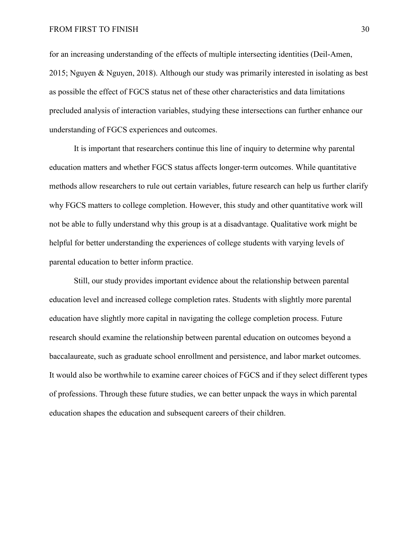for an increasing understanding of the effects of multiple intersecting identities (Deil-Amen, 2015; Nguyen & Nguyen, 2018). Although our study was primarily interested in isolating as best as possible the effect of FGCS status net of these other characteristics and data limitations precluded analysis of interaction variables, studying these intersections can further enhance our understanding of FGCS experiences and outcomes.

It is important that researchers continue this line of inquiry to determine why parental education matters and whether FGCS status affects longer-term outcomes. While quantitative methods allow researchers to rule out certain variables, future research can help us further clarify why FGCS matters to college completion. However, this study and other quantitative work will not be able to fully understand why this group is at a disadvantage. Qualitative work might be helpful for better understanding the experiences of college students with varying levels of parental education to better inform practice.

Still, our study provides important evidence about the relationship between parental education level and increased college completion rates. Students with slightly more parental education have slightly more capital in navigating the college completion process. Future research should examine the relationship between parental education on outcomes beyond a baccalaureate, such as graduate school enrollment and persistence, and labor market outcomes. It would also be worthwhile to examine career choices of FGCS and if they select different types of professions. Through these future studies, we can better unpack the ways in which parental education shapes the education and subsequent careers of their children.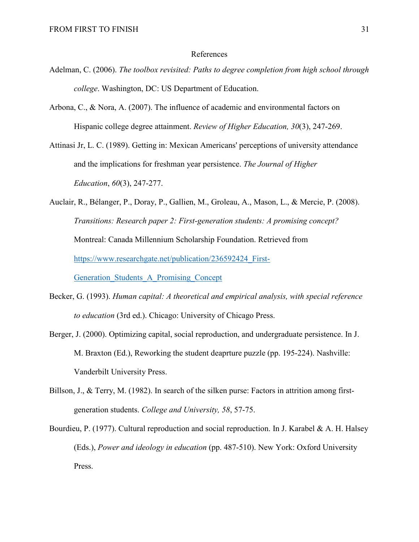#### References

- Adelman, C. (2006). *The toolbox revisited: Paths to degree completion from high school through college*. Washington, DC: US Department of Education.
- Arbona, C., & Nora, A. (2007). The influence of academic and environmental factors on Hispanic college degree attainment. *Review of Higher Education, 30*(3), 247-269.
- Attinasi Jr, L. C. (1989). Getting in: Mexican Americans' perceptions of university attendance and the implications for freshman year persistence. *The Journal of Higher Education*, *60*(3), 247-277.
- Auclair, R., Bélanger, P., Doray, P., Gallien, M., Groleau, A., Mason, L., & Mercie, P. (2008). *Transitions: Research paper 2: First-generation students: A promising concept?*  Montreal: Canada Millennium Scholarship Foundation. Retrieved from https://www.researchgate.net/publication/236592424 First-Generation Students A Promising Concept
- Becker, G. (1993). *Human capital: A theoretical and empirical analysis, with special reference to education* (3rd ed.). Chicago: University of Chicago Press.
- Berger, J. (2000). Optimizing capital, social reproduction, and undergraduate persistence. In J. M. Braxton (Ed.), Reworking the student deaprture puzzle (pp. 195-224). Nashville: Vanderbilt University Press.
- Billson, J., & Terry, M. (1982). In search of the silken purse: Factors in attrition among firstgeneration students. *College and University, 58*, 57-75.

Bourdieu, P. (1977). Cultural reproduction and social reproduction. In J. Karabel & A. H. Halsey (Eds.), *Power and ideology in education* (pp. 487-510). New York: Oxford University Press.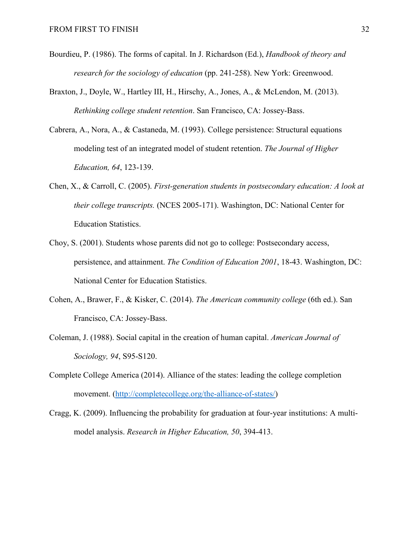- Bourdieu, P. (1986). The forms of capital. In J. Richardson (Ed.), *Handbook of theory and research for the sociology of education* (pp. 241-258). New York: Greenwood.
- Braxton, J., Doyle, W., Hartley III, H., Hirschy, A., Jones, A., & McLendon, M. (2013). *Rethinking college student retention*. San Francisco, CA: Jossey-Bass.
- Cabrera, A., Nora, A., & Castaneda, M. (1993). College persistence: Structural equations modeling test of an integrated model of student retention. *The Journal of Higher Education, 64*, 123-139.
- Chen, X., & Carroll, C. (2005). *First-generation students in postsecondary education: A look at their college transcripts.* (NCES 2005-171). Washington, DC: National Center for Education Statistics.
- Choy, S. (2001). Students whose parents did not go to college: Postsecondary access, persistence, and attainment. *The Condition of Education 2001*, 18-43. Washington, DC: National Center for Education Statistics.
- Cohen, A., Brawer, F., & Kisker, C. (2014). *The American community college* (6th ed.). San Francisco, CA: Jossey-Bass.
- Coleman, J. (1988). Social capital in the creation of human capital. *American Journal of Sociology, 94*, S95-S120.
- Complete College America (2014). Alliance of the states: leading the college completion movement. [\(http://completecollege.org/the-alliance-of-states/\)](http://completecollege.org/the-alliance-of-states/)
- Cragg, K. (2009). Influencing the probability for graduation at four-year institutions: A multimodel analysis. *Research in Higher Education, 50*, 394-413.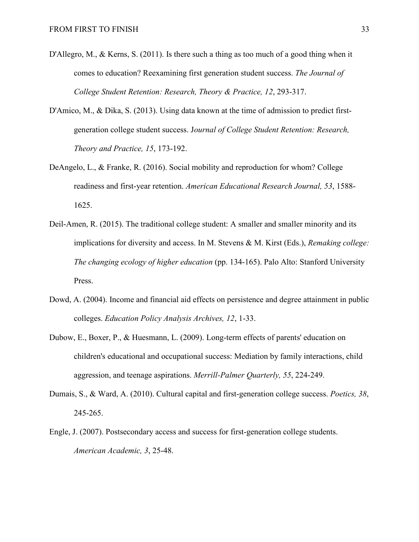- D'Allegro, M., & Kerns, S. (2011). Is there such a thing as too much of a good thing when it comes to education? Reexamining first generation student success. *The Journal of College Student Retention: Research, Theory & Practice, 12*, 293-317.
- D'Amico, M., & Dika, S. (2013). Using data known at the time of admission to predict firstgeneration college student success. J*ournal of College Student Retention: Research, Theory and Practice, 15*, 173-192.
- DeAngelo, L., & Franke, R. (2016). Social mobility and reproduction for whom? College readiness and first-year retention. *American Educational Research Journal, 53*, 1588- 1625.
- Deil-Amen, R. (2015). The traditional college student: A smaller and smaller minority and its implications for diversity and access. In M. Stevens & M. Kirst (Eds.), *Remaking college: The changing ecology of higher education* (pp. 134-165). Palo Alto: Stanford University Press.
- Dowd, A. (2004). Income and financial aid effects on persistence and degree attainment in public colleges. *Education Policy Analysis Archives, 12*, 1-33.
- Dubow, E., Boxer, P., & Huesmann, L. (2009). Long-term effects of parents' education on children's educational and occupational success: Mediation by family interactions, child aggression, and teenage aspirations. *Merrill-Palmer Quarterly, 55*, 224-249.
- Dumais, S., & Ward, A. (2010). Cultural capital and first-generation college success. *Poetics, 38*, 245-265.
- Engle, J. (2007). Postsecondary access and success for first-generation college students. *American Academic, 3*, 25-48.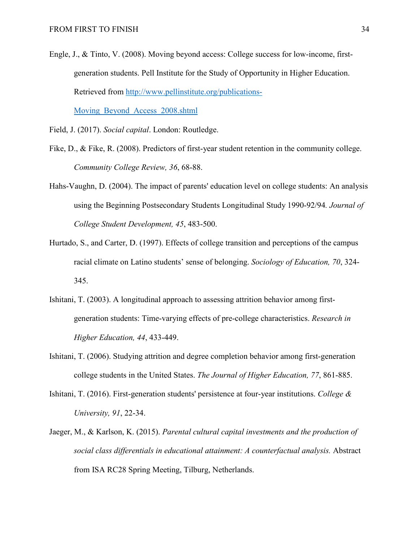Engle, J., & Tinto, V. (2008). Moving beyond access: College success for low-income, firstgeneration students. Pell Institute for the Study of Opportunity in Higher Education. Retrieved from [http://www.pellinstitute.org/publications-](http://www.pellinstitute.org/publications-Moving_Beyond_Access_2008.shtml)[Moving\\_Beyond\\_Access\\_2008.shtml](http://www.pellinstitute.org/publications-Moving_Beyond_Access_2008.shtml)

Field, J. (2017). *Social capital*. London: Routledge.

- Fike, D., & Fike, R. (2008). Predictors of first-year student retention in the community college. *Community College Review, 36*, 68-88.
- Hahs-Vaughn, D. (2004). The impact of parents' education level on college students: An analysis using the Beginning Postsecondary Students Longitudinal Study 1990-92/94*. Journal of College Student Development, 45*, 483-500.
- Hurtado, S., and Carter, D. (1997). Effects of college transition and perceptions of the campus racial climate on Latino students' sense of belonging. *Sociology of Education, 70*, 324- 345.
- Ishitani, T. (2003). A longitudinal approach to assessing attrition behavior among firstgeneration students: Time-varying effects of pre-college characteristics. *Research in Higher Education, 44*, 433-449.
- Ishitani, T. (2006). Studying attrition and degree completion behavior among first-generation college students in the United States. *The Journal of Higher Education, 77*, 861-885.
- Ishitani, T. (2016). First-generation students' persistence at four-year institutions. *College & University, 91*, 22-34.
- Jaeger, M., & Karlson, K. (2015). *Parental cultural capital investments and the production of social class differentials in educational attainment: A counterfactual analysis.* Abstract from ISA RC28 Spring Meeting, Tilburg, Netherlands.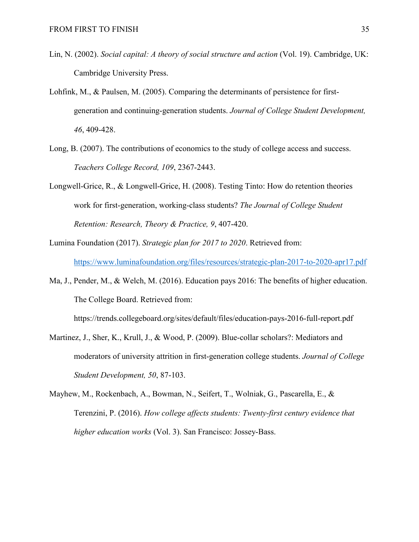- Lin, N. (2002). *Social capital: A theory of social structure and action* (Vol. 19). Cambridge, UK: Cambridge University Press.
- Lohfink, M., & Paulsen, M. (2005). Comparing the determinants of persistence for firstgeneration and continuing-generation students. *Journal of College Student Development, 46*, 409-428.
- Long, B. (2007). The contributions of economics to the study of college access and success. *Teachers College Record, 109*, 2367-2443.
- Longwell-Grice, R., & Longwell-Grice, H. (2008). Testing Tinto: How do retention theories work for first-generation, working-class students? *The Journal of College Student Retention: Research, Theory & Practice, 9*, 407-420.
- Lumina Foundation (2017). *Strategic plan for 2017 to 2020*. Retrieved from: https://www.luminafoundation.org/files/resources/strategic-plan-2017-to-2020-apr17.pdf
- Ma, J., Pender, M., & Welch, M. (2016). Education pays 2016: The benefits of higher education. The College Board. Retrieved from:

https://trends.collegeboard.org/sites/default/files/education-pays-2016-full-report.pdf

- Martinez, J., Sher, K., Krull, J., & Wood, P. (2009). Blue-collar scholars?: Mediators and moderators of university attrition in first-generation college students. *Journal of College Student Development, 50*, 87-103.
- Mayhew, M., Rockenbach, A., Bowman, N., Seifert, T., Wolniak, G., Pascarella, E., & Terenzini, P. (2016). *How college affects students: Twenty-first century evidence that higher education works* (Vol. 3). San Francisco: Jossey-Bass.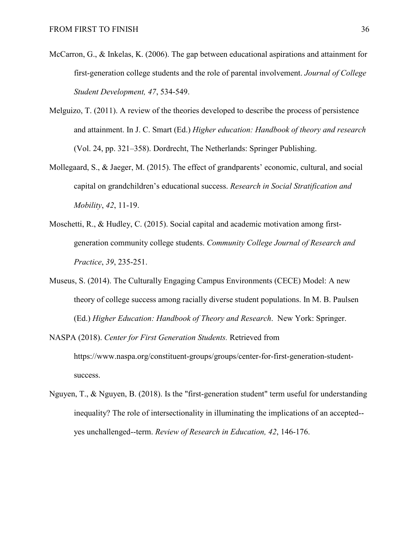- McCarron, G., & Inkelas, K. (2006). The gap between educational aspirations and attainment for first-generation college students and the role of parental involvement. *Journal of College Student Development, 47*, 534-549.
- Melguizo, T. (2011). A review of the theories developed to describe the process of persistence and attainment. In J. C. Smart (Ed.) *Higher education: Handbook of theory and research* (Vol. 24, pp. 321–358). Dordrecht, The Netherlands: Springer Publishing.
- Mollegaard, S., & Jaeger, M. (2015). The effect of grandparents' economic, cultural, and social capital on grandchildren's educational success. *Research in Social Stratification and Mobility*, *42*, 11-19.
- Moschetti, R., & Hudley, C. (2015). Social capital and academic motivation among firstgeneration community college students. *Community College Journal of Research and Practice*, *39*, 235-251.
- Museus, S. (2014). The Culturally Engaging Campus Environments (CECE) Model: A new theory of college success among racially diverse student populations. In M. B. Paulsen (Ed.) *Higher Education: Handbook of Theory and Research*. New York: Springer.
- NASPA (2018). *Center for First Generation Students.* Retrieved from https://www.naspa.org/constituent-groups/groups/center-for-first-generation-studentsuccess.
- Nguyen, T., & Nguyen, B. (2018). Is the "first-generation student" term useful for understanding inequality? The role of intersectionality in illuminating the implications of an accepted- yes unchallenged--term. *Review of Research in Education, 42*, 146-176.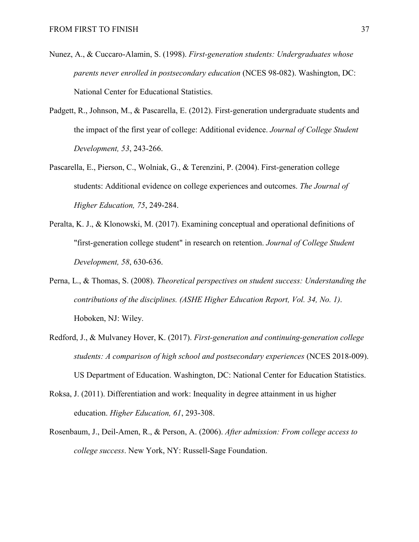- Nunez, A., & Cuccaro-Alamin, S. (1998). *First-generation students: Undergraduates whose parents never enrolled in postsecondary education* (NCES 98-082). Washington, DC: National Center for Educational Statistics.
- Padgett, R., Johnson, M., & Pascarella, E. (2012). First-generation undergraduate students and the impact of the first year of college: Additional evidence. *Journal of College Student Development, 53*, 243-266.
- Pascarella, E., Pierson, C., Wolniak, G., & Terenzini, P. (2004). First-generation college students: Additional evidence on college experiences and outcomes. *The Journal of Higher Education, 75*, 249-284.
- Peralta, K. J., & Klonowski, M. (2017). Examining conceptual and operational definitions of "first-generation college student" in research on retention. *Journal of College Student Development, 58*, 630-636.
- Perna, L., & Thomas, S. (2008). *Theoretical perspectives on student success: Understanding the contributions of the disciplines. (ASHE Higher Education Report, Vol. 34, No. 1)*. Hoboken, NJ: Wiley.
- Redford, J., & Mulvaney Hover, K. (2017). *First-generation and continuing-generation college students: A comparison of high school and postsecondary experiences* (NCES 2018-009). US Department of Education. Washington, DC: National Center for Education Statistics.
- Roksa, J. (2011). Differentiation and work: Inequality in degree attainment in us higher education. *Higher Education, 61*, 293-308.
- Rosenbaum, J., Deil-Amen, R., & Person, A. (2006). *After admission: From college access to college success*. New York, NY: Russell-Sage Foundation.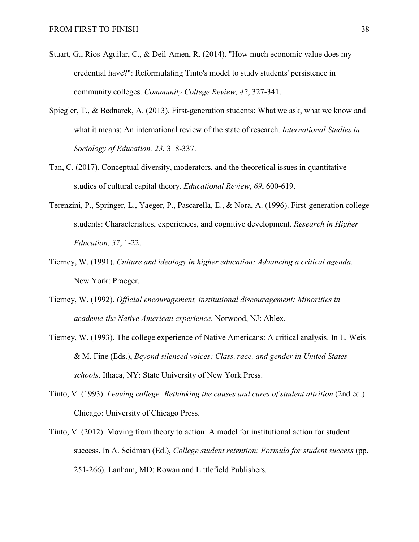- Stuart, G., Rios-Aguilar, C., & Deil-Amen, R. (2014). "How much economic value does my credential have?": Reformulating Tinto's model to study students' persistence in community colleges. *Community College Review, 42*, 327-341.
- Spiegler, T., & Bednarek, A. (2013). First-generation students: What we ask, what we know and what it means: An international review of the state of research. *International Studies in Sociology of Education, 23*, 318-337.
- Tan, C. (2017). Conceptual diversity, moderators, and the theoretical issues in quantitative studies of cultural capital theory. *Educational Review*, *69*, 600-619.
- Terenzini, P., Springer, L., Yaeger, P., Pascarella, E., & Nora, A. (1996). First-generation college students: Characteristics, experiences, and cognitive development. *Research in Higher Education, 37*, 1-22.
- Tierney, W. (1991). *Culture and ideology in higher education: Advancing a critical agenda*. New York: Praeger.
- Tierney, W. (1992). *Official encouragement, institutional discouragement: Minorities in academe-the Native American experience*. Norwood, NJ: Ablex.
- Tierney, W. (1993). The college experience of Native Americans: A critical analysis. In L. Weis & M. Fine (Eds.), *Beyond silenced voices: Class,race, and gender in United States schools*. Ithaca, NY: State University of New York Press.
- Tinto, V. (1993). *Leaving college: Rethinking the causes and cures of student attrition* (2nd ed.). Chicago: University of Chicago Press.
- Tinto, V. (2012). Moving from theory to action: A model for institutional action for student success. In A. Seidman (Ed.), *College student retention: Formula for student success* (pp. 251-266). Lanham, MD: Rowan and Littlefield Publishers.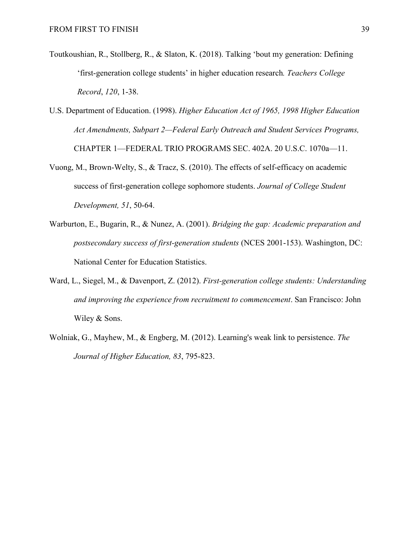- Toutkoushian, R., Stollberg, R., & Slaton, K. (2018). Talking 'bout my generation: Defining 'first-generation college students' in higher education research*. Teachers College Record*, *120*, 1-38.
- U.S. Department of Education. (1998). *Higher Education Act of 1965, 1998 Higher Education Act Amendments, Subpart 2—Federal Early Outreach and Student Services Programs,*  CHAPTER 1—FEDERAL TRIO PROGRAMS SEC. 402A. 20 U.S.C. 1070a—11.
- Vuong, M., Brown-Welty, S., & Tracz, S. (2010). The effects of self-efficacy on academic success of first-generation college sophomore students. *Journal of College Student Development, 51*, 50-64.
- Warburton, E., Bugarin, R., & Nunez, A. (2001). *Bridging the gap: Academic preparation and postsecondary success of first-generation students* (NCES 2001-153). Washington, DC: National Center for Education Statistics.
- Ward, L., Siegel, M., & Davenport, Z. (2012). *First-generation college students: Understanding and improving the experience from recruitment to commencement*. San Francisco: John Wiley & Sons.
- Wolniak, G., Mayhew, M., & Engberg, M. (2012). Learning's weak link to persistence. *The Journal of Higher Education, 83*, 795-823.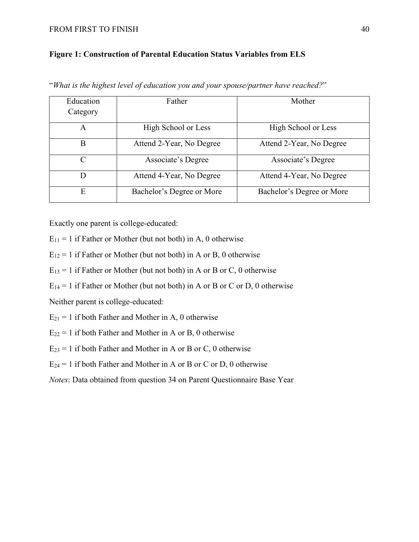#### FROM FIRST TO FINISH 40

#### **Figure 1: Construction of Parental Education Status Variables from ELS**

| Education<br>Category | Father                    | Mother                    |
|-----------------------|---------------------------|---------------------------|
| A                     | High School or Less       | High School or Less       |
| B                     | Attend 2-Year, No Degree  | Attend 2-Year, No Degree  |
| $\subset$             | Associate's Degree        | Associate's Degree        |
| D                     | Attend 4-Year, No Degree  | Attend 4-Year, No Degree  |
| E                     | Bachelor's Degree or More | Bachelor's Degree or More |

"*What is the highest level of education you and your spouse/partner have reached?*"

Exactly one parent is college-educated:

 $E_{11} = 1$  if Father or Mother (but not both) in A, 0 otherwise

 $E_{12} = 1$  if Father or Mother (but not both) in A or B, 0 otherwise

 $E_{13} = 1$  if Father or Mother (but not both) in A or B or C, 0 otherwise

 $E_{14} = 1$  if Father or Mother (but not both) in A or B or C or D, 0 otherwise

Neither parent is college-educated:

 $E_{21} = 1$  if both Father and Mother in A, 0 otherwise

 $E_{22} = 1$  if both Father and Mother in A or B, 0 otherwise

 $E_{23} = 1$  if both Father and Mother in A or B or C, 0 otherwise

 $E_{24} = 1$  if both Father and Mother in A or B or C or D, 0 otherwise

*Notes*: Data obtained from question 34 on Parent Questionnaire Base Year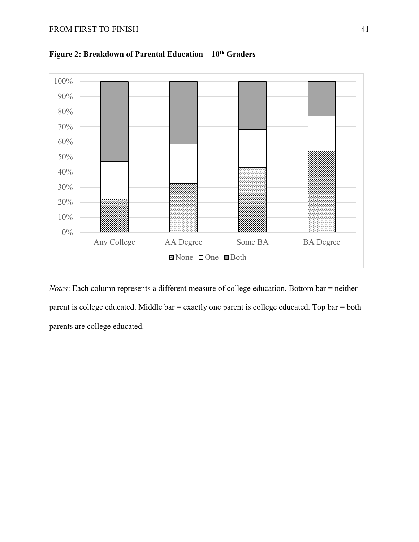

**Figure 2: Breakdown of Parental Education – 10th Graders**

*Notes*: Each column represents a different measure of college education. Bottom bar = neither parent is college educated. Middle bar = exactly one parent is college educated. Top bar = both parents are college educated.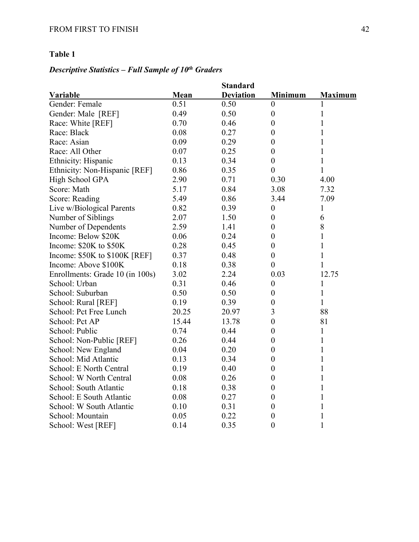# *Descriptive Statistics – Full Sample of 10th Graders*

|                                 |       | <b>Standard</b>  |                  |                |
|---------------------------------|-------|------------------|------------------|----------------|
| <b>Variable</b>                 | Mean  | <b>Deviation</b> | <b>Minimum</b>   | <b>Maximum</b> |
| Gender: Female                  | 0.51  | 0.50             | $\theta$         |                |
| Gender: Male [REF]              | 0.49  | 0.50             | $\boldsymbol{0}$ | 1              |
| Race: White [REF]               | 0.70  | 0.46             | $\boldsymbol{0}$ | 1              |
| Race: Black                     | 0.08  | 0.27             | $\boldsymbol{0}$ | 1              |
| Race: Asian                     | 0.09  | 0.29             | $\boldsymbol{0}$ | 1              |
| Race: All Other                 | 0.07  | 0.25             | $\overline{0}$   | 1              |
| Ethnicity: Hispanic             | 0.13  | 0.34             | $\boldsymbol{0}$ | 1              |
| Ethnicity: Non-Hispanic [REF]   | 0.86  | 0.35             | $\boldsymbol{0}$ | $\mathbf{1}$   |
| High School GPA                 | 2.90  | 0.71             | 0.30             | 4.00           |
| Score: Math                     | 5.17  | 0.84             | 3.08             | 7.32           |
| Score: Reading                  | 5.49  | 0.86             | 3.44             | 7.09           |
| Live w/Biological Parents       | 0.82  | 0.39             | $\boldsymbol{0}$ | 1              |
| Number of Siblings              | 2.07  | 1.50             | $\boldsymbol{0}$ | 6              |
| Number of Dependents            | 2.59  | 1.41             | $\overline{0}$   | 8              |
| Income: Below \$20K             | 0.06  | 0.24             | $\boldsymbol{0}$ | 1              |
| Income: \$20K to \$50K          | 0.28  | 0.45             | $\boldsymbol{0}$ | 1              |
| Income: $$50K$ to $$100K$ [REF] | 0.37  | 0.48             | $\boldsymbol{0}$ | 1              |
| Income: Above \$100K            | 0.18  | 0.38             | $\boldsymbol{0}$ | 1              |
| Enrollments: Grade 10 (in 100s) | 3.02  | 2.24             | 0.03             | 12.75          |
| School: Urban                   | 0.31  | 0.46             | $\boldsymbol{0}$ | 1              |
| School: Suburban                | 0.50  | 0.50             | $\boldsymbol{0}$ | $\mathbf{1}$   |
| School: Rural [REF]             | 0.19  | 0.39             | $\boldsymbol{0}$ | 1              |
| School: Pct Free Lunch          | 20.25 | 20.97            | 3                | 88             |
| School: Pct AP                  | 15.44 | 13.78            | $\boldsymbol{0}$ | 81             |
| School: Public                  | 0.74  | 0.44             | $\boldsymbol{0}$ | 1              |
| School: Non-Public [REF]        | 0.26  | 0.44             | $\boldsymbol{0}$ | 1              |
| School: New England             | 0.04  | 0.20             | $\boldsymbol{0}$ | 1              |
| School: Mid Atlantic            | 0.13  | 0.34             | $\boldsymbol{0}$ | 1              |
| School: E North Central         | 0.19  | 0.40             | $\boldsymbol{0}$ | 1              |
| School: W North Central         | 0.08  | 0.26             | $\boldsymbol{0}$ | 1              |
| School: South Atlantic          | 0.18  | 0.38             | $\boldsymbol{0}$ | 1              |
| School: E South Atlantic        | 0.08  | 0.27             | $\boldsymbol{0}$ | 1              |
| School: W South Atlantic        | 0.10  | 0.31             | $\boldsymbol{0}$ | 1              |
| School: Mountain                | 0.05  | 0.22             | $\boldsymbol{0}$ | 1              |
| School: West [REF]              | 0.14  | 0.35             | $\boldsymbol{0}$ | 1              |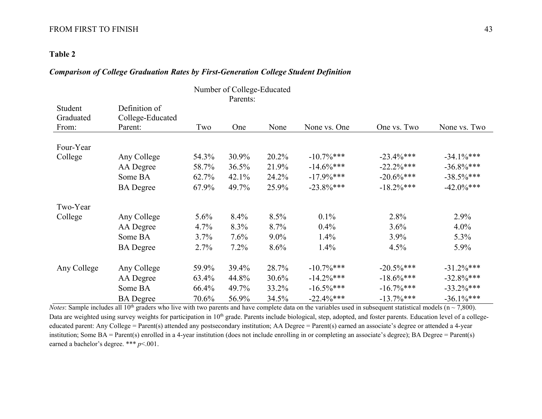#### FROM FIRST TO FINISH 43

#### **Table 2**

#### *Comparison of College Graduation Rates by First-Generation College Student Definition*

| Number of College-Educated |                  |         |          |       |               |               |               |
|----------------------------|------------------|---------|----------|-------|---------------|---------------|---------------|
|                            |                  |         | Parents: |       |               |               |               |
| Student                    | Definition of    |         |          |       |               |               |               |
| Graduated                  | College-Educated |         |          |       |               |               |               |
| From:                      | Parent:          | Two     | One      | None  | None vs. One  | One vs. Two   | None vs. Two  |
| Four-Year                  |                  |         |          |       |               |               |               |
| College                    | Any College      | 54.3%   | 30.9%    | 20.2% | $-10.7\%$ *** | $-23.4\%***$  | $-34.1\%***$  |
|                            | AA Degree        | 58.7%   | 36.5%    | 21.9% | $-14.6\%$ *** | $-22.2\%$ *** | $-36.8\%***$  |
|                            | Some BA          | 62.7%   | 42.1%    | 24.2% | $-17.9\%***$  | $-20.6\%$ *** | $-38.5\%$ *** |
|                            | <b>BA</b> Degree | 67.9%   | 49.7%    | 25.9% | $-23.8\%***$  | $-18.2\%***$  | $-42.0\%***$  |
| Two-Year                   |                  |         |          |       |               |               |               |
| College                    | Any College      | $5.6\%$ | 8.4%     | 8.5%  | $0.1\%$       | 2.8%          | 2.9%          |
|                            | AA Degree        | 4.7%    | 8.3%     | 8.7%  | $0.4\%$       | 3.6%          | $4.0\%$       |
|                            | Some BA          | 3.7%    | 7.6%     | 9.0%  | $1.4\%$       | 3.9%          | 5.3%          |
|                            | <b>BA</b> Degree | 2.7%    | 7.2%     | 8.6%  | $1.4\%$       | 4.5%          | 5.9%          |
| Any College                | Any College      | 59.9%   | 39.4%    | 28.7% | $-10.7\%$ *** | $-20.5\%$ *** | $-31.2\%***$  |
|                            | AA Degree        | 63.4%   | 44.8%    | 30.6% | $-14.2\%$ *** | $-18.6\%$ *** | $-32.8\%***$  |
|                            | Some BA          | 66.4%   | 49.7%    | 33.2% | $-16.5\%$ *** | $-16.7\%$ *** | $-33.2\%***$  |
|                            | <b>BA</b> Degree | 70.6%   | 56.9%    | 34.5% | $-22.4\%***$  | $-13.7\%***$  | $-36.1\%***$  |

*Notes*: Sample includes all 10<sup>th</sup> graders who live with two parents and have complete data on the variables used in subsequent statistical models (n  $\sim$  7,800). Data are weighted using survey weights for participation in 10<sup>th</sup> grade. Parents include biological, step, adopted, and foster parents. Education level of a collegeeducated parent: Any College = Parent(s) attended any postsecondary institution; AA Degree = Parent(s) earned an associate's degree or attended a 4-year institution; Some BA = Parent(s) enrolled in a 4-year institution (does not include enrolling in or completing an associate's degree); BA Degree = Parent(s) earned a bachelor's degree. \*\*\* *p*<.001.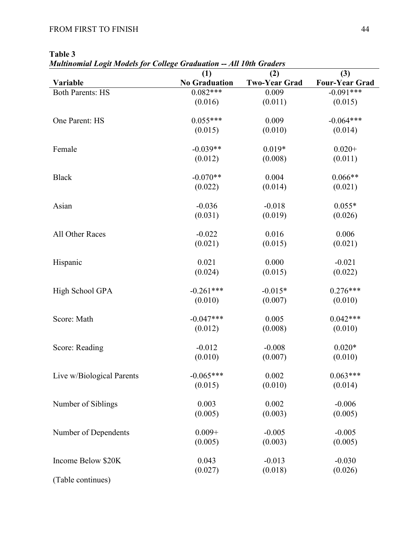| `able |  |
|-------|--|
|-------|--|

*Multinomial Logit Models for College Graduation -- All 10th Graders*

| ruunomuu Logu moucis      |                             | THE LOUR OFWEED             |                              |
|---------------------------|-----------------------------|-----------------------------|------------------------------|
| Variable                  | (1)<br><b>No Graduation</b> | (2)<br><b>Two-Year Grad</b> | (3)<br><b>Four-Year Grad</b> |
| <b>Both Parents: HS</b>   | $0.082***$                  | 0.009                       | $-0.091***$                  |
|                           |                             |                             |                              |
|                           | (0.016)                     | (0.011)                     | (0.015)                      |
| One Parent: HS            | $0.055***$                  | 0.009                       | $-0.064***$                  |
|                           | (0.015)                     | (0.010)                     | (0.014)                      |
| Female                    | $-0.039**$                  | $0.019*$                    | $0.020+$                     |
|                           | (0.012)                     | (0.008)                     | (0.011)                      |
|                           |                             |                             |                              |
| <b>Black</b>              | $-0.070**$                  | 0.004                       | $0.066**$                    |
|                           | (0.022)                     | (0.014)                     | (0.021)                      |
| Asian                     | $-0.036$                    | $-0.018$                    | $0.055*$                     |
|                           | (0.031)                     | (0.019)                     | (0.026)                      |
|                           |                             |                             |                              |
| All Other Races           | $-0.022$                    | 0.016                       | 0.006                        |
|                           | (0.021)                     | (0.015)                     | (0.021)                      |
|                           |                             |                             |                              |
| Hispanic                  | 0.021                       | 0.000                       | $-0.021$                     |
|                           | (0.024)                     | (0.015)                     | (0.022)                      |
|                           |                             |                             |                              |
| High School GPA           | $-0.261***$                 | $-0.015*$                   | $0.276***$                   |
|                           | (0.010)                     | (0.007)                     | (0.010)                      |
|                           |                             |                             |                              |
| Score: Math               | $-0.047***$                 | 0.005                       | $0.042***$                   |
|                           | (0.012)                     | (0.008)                     | (0.010)                      |
| Score: Reading            | $-0.012$                    | $-0.008$                    | $0.020*$                     |
|                           | (0.010)                     | (0.007)                     | (0.010)                      |
|                           |                             |                             |                              |
| Live w/Biological Parents | $-0.065***$                 | 0.002                       | $0.063***$                   |
|                           | (0.015)                     | (0.010)                     | (0.014)                      |
|                           |                             |                             |                              |
| Number of Siblings        | 0.003                       | 0.002                       | $-0.006$                     |
|                           | (0.005)                     | (0.003)                     | (0.005)                      |
|                           |                             |                             |                              |
| Number of Dependents      | $0.009 +$                   | $-0.005$                    | $-0.005$                     |
|                           | (0.005)                     | (0.003)                     | (0.005)                      |
|                           |                             |                             |                              |
| Income Below \$20K        | 0.043                       | $-0.013$                    | $-0.030$                     |
| (Table continues)         | (0.027)                     | (0.018)                     | (0.026)                      |
|                           |                             |                             |                              |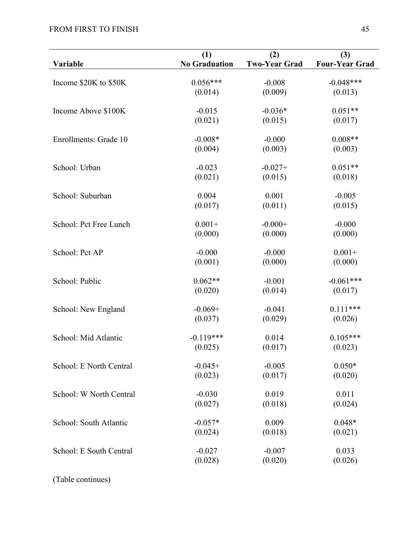| Variable                | (1)<br><b>No Graduation</b> | (2)<br><b>Two-Year Grad</b> | (3)<br><b>Four-Year Grad</b> |
|-------------------------|-----------------------------|-----------------------------|------------------------------|
|                         |                             |                             |                              |
| Income \$20K to \$50K   | $0.056***$                  | $-0.008$                    | $-0.048***$                  |
|                         | (0.014)                     | (0.009)                     | (0.013)                      |
| Income Above \$100K     | $-0.015$                    | $-0.036*$                   | $0.051**$                    |
|                         | (0.021)                     | (0.015)                     | (0.017)                      |
| Enrollments: Grade 10   | $-0.008*$                   | $-0.000$                    | $0.008**$                    |
|                         | (0.004)                     | (0.003)                     | (0.003)                      |
| School: Urban           | $-0.023$                    | $-0.027+$                   | $0.051**$                    |
|                         | (0.021)                     | (0.015)                     | (0.018)                      |
| School: Suburban        | 0.004                       | 0.001                       | $-0.005$                     |
|                         | (0.017)                     | (0.011)                     | (0.015)                      |
| School: Pct Free Lunch  | $0.001 +$                   | $-0.000+$                   | $-0.000$                     |
|                         | (0.000)                     | (0.000)                     | (0.000)                      |
| School: Pct AP          | $-0.000$                    | $-0.000$                    | $0.001 +$                    |
|                         | (0.001)                     | (0.000)                     | (0.000)                      |
| School: Public          | $0.062**$                   | $-0.001$                    | $-0.061***$                  |
|                         | (0.020)                     | (0.014)                     | (0.017)                      |
| School: New England     | $-0.069+$                   | $-0.041$                    | $0.111***$                   |
|                         | (0.037)                     | (0.029)                     | (0.026)                      |
| School: Mid Atlantic    | $-0.119***$                 | 0.014                       | $0.105***$                   |
|                         | (0.025)                     | (0.017)                     | (0.023)                      |
| School: E North Central | $-0.045+$                   | $-0.005$                    | $0.050*$                     |
|                         | (0.023)                     | (0.017)                     | (0.020)                      |
| School: W North Central | $-0.030$                    | 0.019                       | 0.011                        |
|                         | (0.027)                     | (0.018)                     | (0.024)                      |
| School: South Atlantic  | $-0.057*$                   | 0.009                       | $0.048*$                     |
|                         | (0.024)                     | (0.018)                     | (0.021)                      |
| School: E South Central | $-0.027$                    | $-0.007$                    | 0.033                        |
|                         | (0.028)                     | (0.020)                     | (0.026)                      |

(Table continues)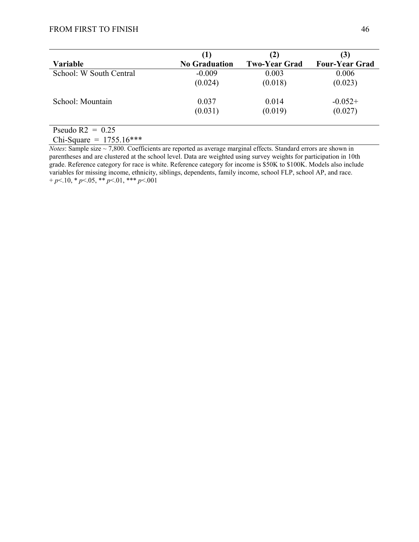| Variable                | (1)<br><b>No Graduation</b> | (2)<br><b>Two-Year Grad</b> | (3)<br><b>Four-Year Grad</b> |
|-------------------------|-----------------------------|-----------------------------|------------------------------|
| School: W South Central | $-0.009$                    | 0.003                       | 0.006                        |
|                         | (0.024)                     | (0.018)                     | (0.023)                      |
| School: Mountain        | 0.037                       | 0.014                       | $-0.052+$                    |
|                         | (0.031)                     | (0.019)                     | (0.027)                      |
| Pseudo $R2 = 0.25$      |                             |                             |                              |

Chi-Square =  $1755.16***$ 

*Notes*: Sample size ~ 7,800. Coefficients are reported as average marginal effects. Standard errors are shown in parentheses and are clustered at the school level. Data are weighted using survey weights for participation in 10th grade. Reference category for race is white. Reference category for income is \$50K to \$100K. Models also include variables for missing income, ethnicity, siblings, dependents, family income, school FLP, school AP, and race. + *p*<.10, \* *p*<.05, \*\* *p*<.01, \*\*\* *p*<.001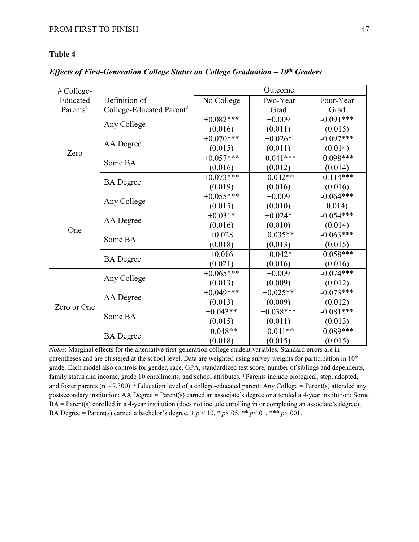*Effects of First-Generation College Status on College Graduation – 10th Graders*

| # College-           |                                      | Outcome:    |              |             |  |  |
|----------------------|--------------------------------------|-------------|--------------|-------------|--|--|
| Educated             | Definition of                        | No College  | Two-Year     | Four-Year   |  |  |
| Parents <sup>1</sup> | College-Educated Parent <sup>2</sup> |             | Grad         | Grad        |  |  |
|                      |                                      | $+0.082***$ | $+0.009$     | $-0.091***$ |  |  |
|                      | Any College                          | (0.016)     | (0.011)      | (0.015)     |  |  |
|                      |                                      | $+0.070***$ | $+0.026*$    | $-0.097***$ |  |  |
|                      | AA Degree                            | (0.015)     | (0.011)      | (0.014)     |  |  |
| Zero                 |                                      | $+0.057***$ | $+0.041$ *** | $-0.098***$ |  |  |
|                      | Some BA                              | (0.016)     | (0.012)      | (0.014)     |  |  |
|                      |                                      | $+0.073***$ | $+0.042**$   | $-0.114***$ |  |  |
|                      | <b>BA</b> Degree                     | (0.019)     | (0.016)      | (0.016)     |  |  |
|                      | Any College                          | $+0.055***$ | $+0.009$     | $-0.064***$ |  |  |
|                      |                                      | (0.015)     | (0.010)      | 0.014)      |  |  |
|                      | AA Degree                            | $+0.031*$   | $+0.024*$    | $-0.054***$ |  |  |
|                      |                                      | (0.016)     | (0.010)      | (0.014)     |  |  |
| One                  | Some BA                              | $+0.028$    | $+0.035**$   | $-0.063***$ |  |  |
|                      |                                      | (0.018)     | (0.013)      | (0.015)     |  |  |
|                      | <b>BA</b> Degree                     | $+0.016$    | $+0.042*$    | $-0.058***$ |  |  |
|                      |                                      | (0.021)     | (0.016)      | (0.016)     |  |  |
|                      |                                      | $+0.065***$ | $+0.009$     | $-0.074***$ |  |  |
|                      | Any College                          | (0.013)     | (0.009)      | (0.012)     |  |  |
|                      |                                      | $+0.049***$ | $+0.025**$   | $-0.073***$ |  |  |
|                      | AA Degree                            | (0.013)     | (0.009)      | (0.012)     |  |  |
| Zero or One          | Some BA                              | $+0.043**$  | $+0.038***$  | $-0.081***$ |  |  |
|                      |                                      | (0.015)     | (0.011)      | (0.013)     |  |  |
|                      |                                      | $+0.048**$  | $+0.041**$   | $-0.089***$ |  |  |
|                      | <b>BA</b> Degree                     | (0.018)     | (0.015)      | (0.015)     |  |  |

*Notes*: Marginal effects for the alternative first-generation college student variables. Standard errors are in parentheses and are clustered at the school level. Data are weighted using survey weights for participation in 10<sup>th</sup> grade. Each model also controls for gender, race, GPA, standardized test score, number of siblings and dependents, family status and income, grade 10 enrollments, and school attributes. <sup>1</sup> Parents include biological, step, adopted, and foster parents ( $n \sim 7,300$ ); <sup>2</sup> Education level of a college-educated parent: Any College = Parent(s) attended any postsecondary institution; AA Degree = Parent(s) earned an associate's degree or attended a 4-year institution; Some BA = Parent(s) enrolled in a 4-year institution (does not include enrolling in or completing an associate's degree); BA Degree = Parent(s) earned a bachelor's degree. +  $p$  <.10, \*  $p$  <.05, \*\*  $p$  <.01, \*\*\*  $p$  <.001.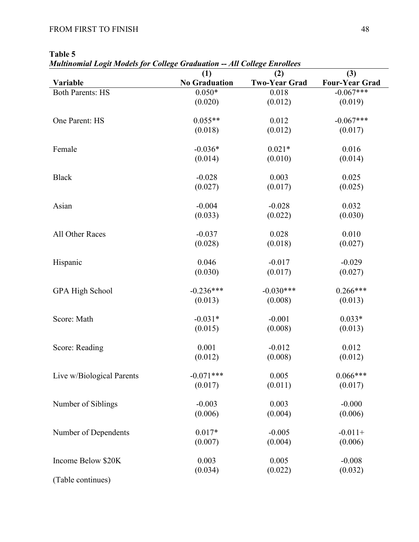*Multinomial Logit Models for College Graduation -- All College Enrollees*

|                           | (1)                  | (2)                  | (3)                   |
|---------------------------|----------------------|----------------------|-----------------------|
| Variable                  | <b>No Graduation</b> | <b>Two-Year Grad</b> | <b>Four-Year Grad</b> |
| <b>Both Parents: HS</b>   | $0.050*$             | 0.018                | $-0.067***$           |
|                           | (0.020)              | (0.012)              | (0.019)               |
| One Parent: HS            | $0.055**$            | 0.012                | $-0.067***$           |
|                           | (0.018)              | (0.012)              | (0.017)               |
| Female                    | $-0.036*$            | $0.021*$             | 0.016                 |
|                           | (0.014)              | (0.010)              | (0.014)               |
| <b>Black</b>              | $-0.028$             | 0.003                | 0.025                 |
|                           | (0.027)              | (0.017)              | (0.025)               |
| Asian                     | $-0.004$             | $-0.028$             | 0.032                 |
|                           | (0.033)              | (0.022)              | (0.030)               |
| All Other Races           | $-0.037$             | 0.028                | 0.010                 |
|                           | (0.028)              | (0.018)              | (0.027)               |
| Hispanic                  | 0.046                | $-0.017$             | $-0.029$              |
|                           | (0.030)              | (0.017)              | (0.027)               |
| <b>GPA High School</b>    | $-0.236***$          | $-0.030***$          | $0.266***$            |
|                           | (0.013)              | (0.008)              | (0.013)               |
| Score: Math               | $-0.031*$            | $-0.001$             | $0.033*$              |
|                           | (0.015)              | (0.008)              | (0.013)               |
| Score: Reading            | 0.001                | $-0.012$             | 0.012                 |
|                           | (0.012)              | (0.008)              | (0.012)               |
| Live w/Biological Parents | $-0.071***$          | 0.005                | $0.066***$            |
|                           | (0.017)              | (0.011)              | (0.017)               |
| Number of Siblings        | $-0.003$             | 0.003                | $-0.000$              |
|                           | (0.006)              | (0.004)              | (0.006)               |
| Number of Dependents      | $0.017*$             | $-0.005$             | $-0.011+$             |
|                           | (0.007)              | (0.004)              | (0.006)               |
| Income Below \$20K        | 0.003                | 0.005                | $-0.008$              |
|                           | (0.034)              | (0.022)              | (0.032)               |
| (Table continues)         |                      |                      |                       |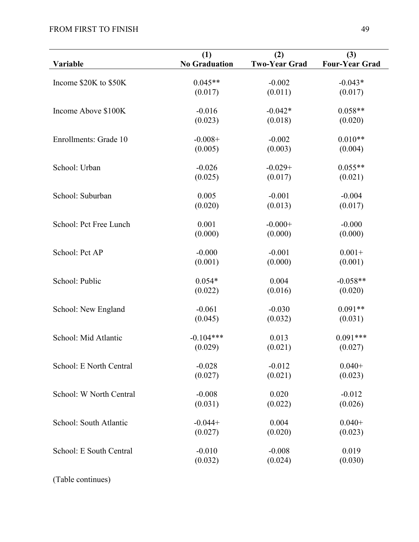|                         | (1)                  | (2)                  | (3)                   |
|-------------------------|----------------------|----------------------|-----------------------|
| Variable                | <b>No Graduation</b> | <b>Two-Year Grad</b> | <b>Four-Year Grad</b> |
| Income \$20K to \$50K   | $0.045**$            | $-0.002$             | $-0.043*$             |
|                         | (0.017)              | (0.011)              | (0.017)               |
| Income Above \$100K     | $-0.016$             | $-0.042*$            | $0.058**$             |
|                         | (0.023)              | (0.018)              | (0.020)               |
| Enrollments: Grade 10   | $-0.008+$            | $-0.002$             | $0.010**$             |
|                         | (0.005)              | (0.003)              | (0.004)               |
| School: Urban           | $-0.026$             | $-0.029+$            | $0.055**$             |
|                         | (0.025)              | (0.017)              | (0.021)               |
| School: Suburban        | 0.005                | $-0.001$             | $-0.004$              |
|                         | (0.020)              | (0.013)              | (0.017)               |
| School: Pct Free Lunch  | 0.001                | $-0.000+$            | $-0.000$              |
|                         | (0.000)              | (0.000)              | (0.000)               |
| School: Pct AP          | $-0.000$             | $-0.001$             | $0.001 +$             |
|                         | (0.001)              | (0.000)              | (0.001)               |
| School: Public          | $0.054*$             | 0.004                | $-0.058**$            |
|                         | (0.022)              | (0.016)              | (0.020)               |
| School: New England     | $-0.061$             | $-0.030$             | $0.091**$             |
|                         | (0.045)              | (0.032)              | (0.031)               |
| School: Mid Atlantic    | $-0.104***$          | 0.013                | $0.091***$            |
|                         | (0.029)              | (0.021)              | (0.027)               |
| School: E North Central | $-0.028$             | $-0.012$             | $0.040+$              |
|                         | (0.027)              | (0.021)              | (0.023)               |
| School: W North Central | $-0.008$             | 0.020                | $-0.012$              |
|                         | (0.031)              | (0.022)              | (0.026)               |
| School: South Atlantic  | $-0.044+$            | 0.004                | $0.040+$              |
|                         | (0.027)              | (0.020)              | (0.023)               |
| School: E South Central | $-0.010$             | $-0.008$             | 0.019                 |
|                         | (0.032)              | (0.024)              | (0.030)               |

(Table continues)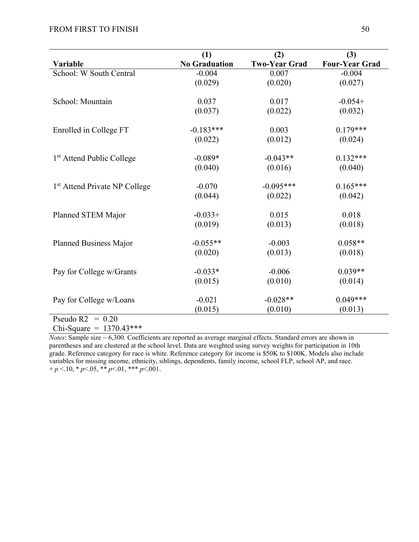|                                           | (1)                  | (2)                  | (3)                   |
|-------------------------------------------|----------------------|----------------------|-----------------------|
| Variable                                  | <b>No Graduation</b> | <b>Two-Year Grad</b> | <b>Four-Year Grad</b> |
| School: W South Central                   | $-0.004$             | 0.007                | $-0.004$              |
|                                           | (0.029)              | (0.020)              | (0.027)               |
|                                           |                      |                      |                       |
| School: Mountain                          | 0.037                | 0.017                | $-0.054+$             |
|                                           | (0.037)              | (0.022)              | (0.032)               |
| Enrolled in College FT                    | $-0.183***$          | 0.003                | $0.179***$            |
|                                           | (0.022)              | (0.012)              | (0.024)               |
| 1 <sup>st</sup> Attend Public College     | $-0.089*$            | $-0.043**$           | $0.132***$            |
|                                           | (0.040)              | (0.016)              | (0.040)               |
|                                           |                      |                      |                       |
| 1 <sup>st</sup> Attend Private NP College | $-0.070$             | $-0.095***$          | $0.165***$            |
|                                           | (0.044)              | (0.022)              | (0.042)               |
| Planned STEM Major                        | $-0.033+$            | 0.015                | 0.018                 |
|                                           | (0.019)              | (0.013)              | (0.018)               |
| Planned Business Major                    | $-0.055**$           | $-0.003$             | $0.058**$             |
|                                           | (0.020)              | (0.013)              | (0.018)               |
|                                           |                      |                      |                       |
| Pay for College w/Grants                  | $-0.033*$            | $-0.006$             | $0.039**$             |
|                                           | (0.015)              | (0.010)              | (0.014)               |
| Pay for College w/Loans                   | $-0.021$             | $-0.028**$           | $0.049***$            |
|                                           | (0.015)              | (0.010)              | (0.013)               |
| $D_1, \ldots, D_n$<br>0.20                |                      |                      |                       |

Pseudo  $R2 = 0.20$ Chi-Square =  $1370.43***$ 

*Notes*: Sample size ~ 6,300. Coefficients are reported as average marginal effects. Standard errors are shown in parentheses and are clustered at the school level. Data are weighted using survey weights for participation in 10th grade. Reference category for race is white. Reference category for income is \$50K to \$100K. Models also include variables for missing income, ethnicity, siblings, dependents, family income, school FLP, school AP, and race.  $+p < 10$ , \* *p* <.05, \*\* *p* <.01, \*\*\* *p* <.001.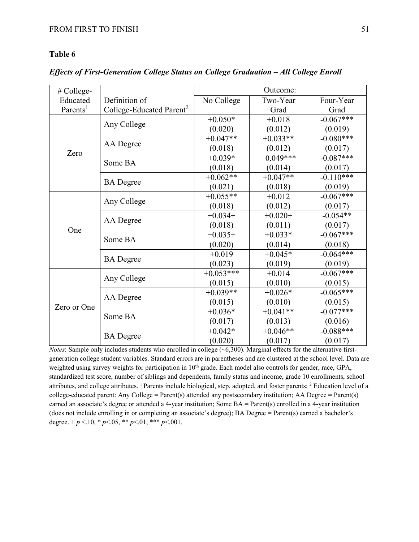*Effects of First-Generation College Status on College Graduation – All College Enroll*

| # College-           |                                      | Outcome:    |             |             |  |  |
|----------------------|--------------------------------------|-------------|-------------|-------------|--|--|
| Educated             | Definition of                        | No College  | Two-Year    | Four-Year   |  |  |
| Parents <sup>1</sup> | College-Educated Parent <sup>2</sup> |             | Grad        | Grad        |  |  |
|                      |                                      | $+0.050*$   | $+0.018$    | $-0.067***$ |  |  |
|                      | Any College                          | (0.020)     | (0.012)     | (0.019)     |  |  |
|                      |                                      | $+0.047**$  | $+0.033**$  | $-0.080***$ |  |  |
|                      | AA Degree                            | (0.018)     | (0.012)     | (0.017)     |  |  |
| Zero                 | Some BA                              | $+0.039*$   | $+0.049***$ | $-0.087***$ |  |  |
|                      |                                      | (0.018)     | (0.014)     | (0.017)     |  |  |
|                      |                                      | $+0.062**$  | $+0.047**$  | $-0.110***$ |  |  |
|                      | <b>BA</b> Degree                     | (0.021)     | (0.018)     | (0.019)     |  |  |
|                      | Any College                          | $+0.055**$  | $+0.012$    | $-0.067***$ |  |  |
|                      |                                      | (0.018)     | (0.012)     | (0.017)     |  |  |
|                      | AA Degree                            | $+0.034+$   | $+0.020+$   | $-0.054**$  |  |  |
| One                  |                                      | (0.018)     | (0.011)     | (0.017)     |  |  |
|                      | Some BA                              | $+0.035+$   | $+0.033*$   | $-0.067***$ |  |  |
|                      |                                      | (0.020)     | (0.014)     | (0.018)     |  |  |
|                      | <b>BA</b> Degree                     | $+0.019$    | $+0.045*$   | $-0.064***$ |  |  |
|                      |                                      | (0.023)     | (0.019)     | (0.019)     |  |  |
|                      |                                      | $+0.053***$ | $+0.014$    | $-0.067***$ |  |  |
|                      | Any College                          | (0.015)     | (0.010)     | (0.015)     |  |  |
|                      |                                      | $+0.039**$  | $+0.026*$   | $-0.065***$ |  |  |
|                      | AA Degree                            | (0.015)     | (0.010)     | (0.015)     |  |  |
| Zero or One          | Some BA                              | $+0.036*$   | $+0.041**$  | $-0.077***$ |  |  |
|                      |                                      | (0.017)     | (0.013)     | (0.016)     |  |  |
|                      |                                      | $+0.042*$   | $+0.046**$  | $-0.088***$ |  |  |
|                      | <b>BA</b> Degree                     | (0.020)     | (0.017)     | (0.017)     |  |  |

*Notes*: Sample only includes students who enrolled in college (~6,300). Marginal effects for the alternative firstgeneration college student variables. Standard errors are in parentheses and are clustered at the school level. Data are weighted using survey weights for participation in 10<sup>th</sup> grade. Each model also controls for gender, race, GPA, standardized test score, number of siblings and dependents, family status and income, grade 10 enrollments, school attributes, and college attributes. 1 Parents include biological, step, adopted, and foster parents; 2 Education level of a college-educated parent: Any College = Parent(s) attended any postsecondary institution; AA Degree = Parent(s) earned an associate's degree or attended a 4-year institution; Some BA = Parent(s) enrolled in a 4-year institution (does not include enrolling in or completing an associate's degree); BA Degree = Parent(s) earned a bachelor's degree.  $+p < 10$ ,  $\ast p < 05$ ,  $\ast \ast p < 01$ ,  $\ast \ast \ast p < 001$ .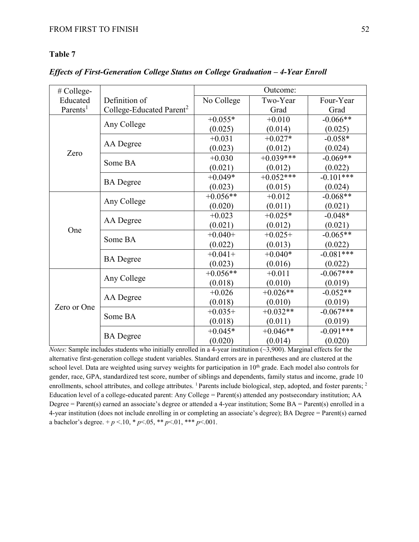*Effects of First-Generation College Status on College Graduation – 4-Year Enroll*

| # College-           |                                      | Outcome:   |             |             |
|----------------------|--------------------------------------|------------|-------------|-------------|
| Educated             | Definition of                        | No College | Two-Year    | Four-Year   |
| Parents <sup>1</sup> | College-Educated Parent <sup>2</sup> |            | Grad        | Grad        |
|                      |                                      | $+0.055*$  | $+0.010$    | $-0.066**$  |
|                      | Any College                          | (0.025)    | (0.014)     | (0.025)     |
|                      |                                      | $+0.031$   | $+0.027*$   | $-0.058*$   |
|                      | AA Degree                            | (0.023)    | (0.012)     | (0.024)     |
| Zero                 | Some BA                              | $+0.030$   | $+0.039***$ | $-0.069**$  |
|                      |                                      | (0.021)    | (0.012)     | (0.022)     |
|                      |                                      | $+0.049*$  | $+0.052***$ | $-0.101***$ |
|                      | <b>BA</b> Degree                     | (0.023)    | (0.015)     | (0.024)     |
|                      | Any College                          | $+0.056**$ | $+0.012$    | $-0.068**$  |
|                      |                                      | (0.020)    | (0.011)     | (0.021)     |
|                      |                                      | $+0.023$   | $+0.025*$   | $-0.048*$   |
| One                  | AA Degree                            | (0.021)    | (0.012)     | (0.021)     |
|                      |                                      | $+0.040+$  | $+0.025+$   | $-0.065**$  |
|                      | Some BA                              | (0.022)    | (0.013)     | (0.022)     |
|                      |                                      | $+0.041+$  | $+0.040*$   | $-0.081***$ |
|                      | <b>BA</b> Degree                     | (0.023)    | (0.016)     | (0.022)     |
|                      |                                      | $+0.056**$ | $+0.011$    | $-0.067***$ |
| Zero or One          | Any College                          | (0.018)    | (0.010)     | (0.019)     |
|                      |                                      | $+0.026$   | $+0.026**$  | $-0.052**$  |
|                      | AA Degree                            | (0.018)    | (0.010)     | (0.019)     |
|                      | Some BA                              | $+0.035+$  | $+0.032**$  | $-0.067***$ |
|                      |                                      | (0.018)    | (0.011)     | (0.019)     |
|                      |                                      | $+0.045*$  | $+0.046**$  | $-0.091***$ |
|                      | <b>BA</b> Degree                     | (0.020)    | (0.014)     | (0.020)     |

*Notes*: Sample includes students who initially enrolled in a 4-year institution (~3,900). Marginal effects for the alternative first-generation college student variables. Standard errors are in parentheses and are clustered at the school level. Data are weighted using survey weights for participation in 10<sup>th</sup> grade. Each model also controls for gender, race, GPA, standardized test score, number of siblings and dependents, family status and income, grade 10 enrollments, school attributes, and college attributes. <sup>1</sup> Parents include biological, step, adopted, and foster parents; <sup>2</sup> Education level of a college-educated parent: Any College = Parent(s) attended any postsecondary institution; AA Degree = Parent(s) earned an associate's degree or attended a 4-year institution; Some BA = Parent(s) enrolled in a 4-year institution (does not include enrolling in or completing an associate's degree); BA Degree = Parent(s) earned a bachelor's degree.  $+p < 10$ ,  $\ast p < 05$ ,  $\ast \ast p < 01$ ,  $\ast \ast \ast p < 001$ .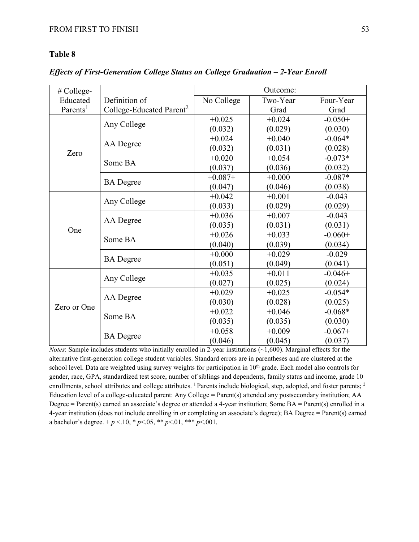*Effects of First-Generation College Status on College Graduation – 2-Year Enroll*

| # College-           |                                      | Outcome:   |          |           |
|----------------------|--------------------------------------|------------|----------|-----------|
| Educated             | Definition of                        | No College | Two-Year | Four-Year |
| Parents <sup>1</sup> | College-Educated Parent <sup>2</sup> |            | Grad     | Grad      |
|                      |                                      | $+0.025$   | $+0.024$ | $-0.050+$ |
|                      | Any College                          | (0.032)    | (0.029)  | (0.030)   |
|                      |                                      | $+0.024$   | $+0.040$ | $-0.064*$ |
| Zero                 | AA Degree                            | (0.032)    | (0.031)  | (0.028)   |
|                      | Some BA                              | $+0.020$   | $+0.054$ | $-0.073*$ |
|                      |                                      | (0.037)    | (0.036)  | (0.032)   |
|                      |                                      | $+0.087+$  | $+0.000$ | $-0.087*$ |
|                      | <b>BA</b> Degree                     | (0.047)    | (0.046)  | (0.038)   |
|                      | Any College                          | $+0.042$   | $+0.001$ | $-0.043$  |
|                      |                                      | (0.033)    | (0.029)  | (0.029)   |
|                      |                                      | $+0.036$   | $+0.007$ | $-0.043$  |
| One                  | AA Degree                            | (0.035)    | (0.031)  | (0.031)   |
|                      |                                      | $+0.026$   | $+0.033$ | $-0.060+$ |
|                      | Some BA                              | (0.040)    | (0.039)  | (0.034)   |
|                      |                                      | $+0.000$   | $+0.029$ | $-0.029$  |
|                      | <b>BA</b> Degree                     | (0.051)    | (0.049)  | (0.041)   |
|                      |                                      | $+0.035$   | $+0.011$ | $-0.046+$ |
| Zero or One          | Any College                          | (0.027)    | (0.025)  | (0.024)   |
|                      |                                      | $+0.029$   | $+0.025$ | $-0.054*$ |
|                      | AA Degree                            | (0.030)    | (0.028)  | (0.025)   |
|                      | Some BA                              | $+0.022$   | $+0.046$ | $-0.068*$ |
|                      |                                      | (0.035)    | (0.035)  | (0.030)   |
|                      |                                      | $+0.058$   | $+0.009$ | $-0.067+$ |
|                      | <b>BA</b> Degree                     | (0.046)    | (0.045)  | (0.037)   |

*Notes*: Sample includes students who initially enrolled in 2-year institutions (~1,600). Marginal effects for the alternative first-generation college student variables. Standard errors are in parentheses and are clustered at the school level. Data are weighted using survey weights for participation in 10<sup>th</sup> grade. Each model also controls for gender, race, GPA, standardized test score, number of siblings and dependents, family status and income, grade 10 enrollments, school attributes and college attributes. <sup>1</sup> Parents include biological, step, adopted, and foster parents; <sup>2</sup> Education level of a college-educated parent: Any College = Parent(s) attended any postsecondary institution; AA Degree = Parent(s) earned an associate's degree or attended a 4-year institution; Some BA = Parent(s) enrolled in a 4-year institution (does not include enrolling in or completing an associate's degree); BA Degree = Parent(s) earned a bachelor's degree.  $+p < 10$ ,  $\ast p < 05$ ,  $\ast \ast p < 01$ ,  $\ast \ast \ast p < 001$ .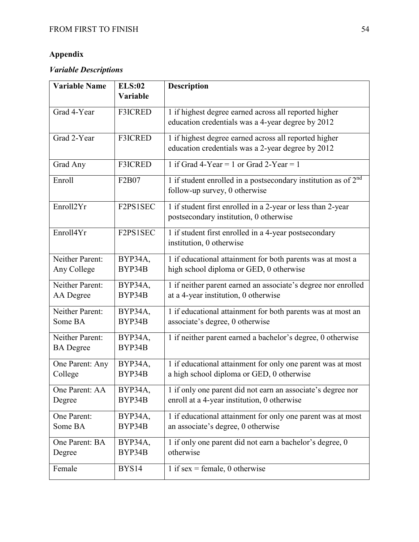### **Appendix**

## *Variable Descriptions*

| <b>Variable Name</b>                | <b>ELS:02</b>     | <b>Description</b>                                                                                          |
|-------------------------------------|-------------------|-------------------------------------------------------------------------------------------------------------|
|                                     | Variable          |                                                                                                             |
| Grad 4-Year                         | <b>F3ICRED</b>    | 1 if highest degree earned across all reported higher<br>education credentials was a 4-year degree by 2012  |
| Grad 2-Year                         | <b>F3ICRED</b>    | 1 if highest degree earned across all reported higher<br>education credentials was a 2-year degree by 2012  |
| Grad Any                            | <b>F3ICRED</b>    | 1 if Grad 4-Year = 1 or Grad 2-Year = 1                                                                     |
| Enroll                              | F2B07             | 1 if student enrolled in a postsecondary institution as of 2 <sup>nd</sup><br>follow-up survey, 0 otherwise |
| Enroll2Yr                           | F2PS1SEC          | 1 if student first enrolled in a 2-year or less than 2-year<br>postsecondary institution, 0 otherwise       |
| Enroll4Yr                           | F2PS1SEC          | 1 if student first enrolled in a 4-year postsecondary<br>institution, 0 otherwise                           |
| Neither Parent:                     | BYP34A,           | 1 if educational attainment for both parents was at most a                                                  |
| Any College                         | BYP34B            | high school diploma or GED, 0 otherwise                                                                     |
| Neither Parent:                     | BYP34A,           | 1 if neither parent earned an associate's degree nor enrolled                                               |
| AA Degree                           | BYP34B            | at a 4-year institution, 0 otherwise                                                                        |
| Neither Parent:<br>Some BA          | BYP34A,<br>BYP34B | 1 if educational attainment for both parents was at most an<br>associate's degree, 0 otherwise              |
| Neither Parent:<br><b>BA</b> Degree | BYP34A,<br>BYP34B | 1 if neither parent earned a bachelor's degree, 0 otherwise                                                 |
| One Parent: Any<br>College          | BYP34A,<br>BYP34B | 1 if educational attainment for only one parent was at most<br>a high school diploma or GED, 0 otherwise    |
| One Parent: AA                      | BYP34A,           | 1 if only one parent did not earn an associate's degree nor                                                 |
| Degree                              | BYP34B            | enroll at a 4-year institution, 0 otherwise                                                                 |
| One Parent:                         | BYP34A,           | 1 if educational attainment for only one parent was at most                                                 |
| Some BA                             | BYP34B            | an associate's degree, 0 otherwise                                                                          |
| One Parent: BA                      | BYP34A,           | 1 if only one parent did not earn a bachelor's degree, 0                                                    |
| Degree                              | BYP34B            | otherwise                                                                                                   |
| Female                              | BYS14             | 1 if sex = female, 0 otherwise                                                                              |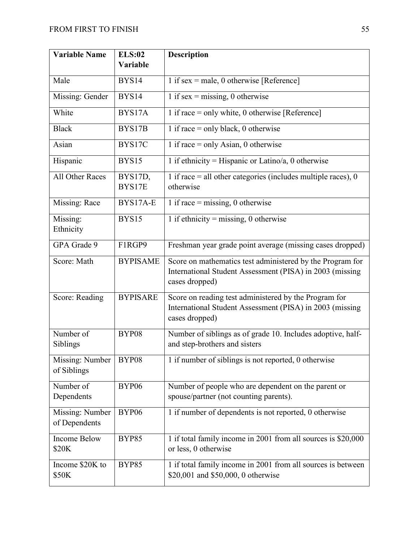| <b>Variable Name</b>             | <b>ELS:02</b>     | <b>Description</b>                                                                                                                      |
|----------------------------------|-------------------|-----------------------------------------------------------------------------------------------------------------------------------------|
|                                  | Variable          |                                                                                                                                         |
| Male                             | BYS14             | 1 if sex = male, 0 otherwise $[Reference]$                                                                                              |
| Missing: Gender                  | BYS14             | $\overline{1}$ if sex = missing, 0 otherwise                                                                                            |
| White                            | BYS17A            | 1 if race = only white, 0 otherwise $[Reference]$                                                                                       |
| <b>Black</b>                     | BYS17B            | 1 if race $=$ only black, 0 otherwise                                                                                                   |
| Asian                            | BYS17C            | 1 if race $=$ only Asian, 0 otherwise                                                                                                   |
| Hispanic                         | BYS15             | 1 if ethnicity = Hispanic or Latino/a, 0 otherwise                                                                                      |
| All Other Races                  | BYS17D,<br>BYS17E | 1 if race $=$ all other categories (includes multiple races), 0<br>otherwise                                                            |
| Missing: Race                    | BYS17A-E          | 1 if race = missing, 0 otherwise                                                                                                        |
| Missing:<br>Ethnicity            | BYS15             | 1 if ethnicity = missing, 0 otherwise                                                                                                   |
| GPA Grade 9                      | F1RGP9            | Freshman year grade point average (missing cases dropped)                                                                               |
| Score: Math                      | <b>BYPISAME</b>   | Score on mathematics test administered by the Program for<br>International Student Assessment (PISA) in 2003 (missing<br>cases dropped) |
| Score: Reading                   | <b>BYPISARE</b>   | Score on reading test administered by the Program for<br>International Student Assessment (PISA) in 2003 (missing<br>cases dropped)     |
| Number of<br>Siblings            | BYP08             | Number of siblings as of grade 10. Includes adoptive, half-<br>and step-brothers and sisters                                            |
| Missing: Number<br>of Siblings   | BYP08             | 1 if number of siblings is not reported, 0 otherwise                                                                                    |
| Number of<br>Dependents          | BYP06             | Number of people who are dependent on the parent or<br>spouse/partner (not counting parents).                                           |
| Missing: Number<br>of Dependents | BYP06             | 1 if number of dependents is not reported, 0 otherwise                                                                                  |
| <b>Income Below</b><br>\$20K     | <b>BYP85</b>      | 1 if total family income in 2001 from all sources is \$20,000<br>or less, 0 otherwise                                                   |
| Income \$20K to<br>\$50K         | <b>BYP85</b>      | 1 if total family income in 2001 from all sources is between<br>\$20,001 and \$50,000, 0 otherwise                                      |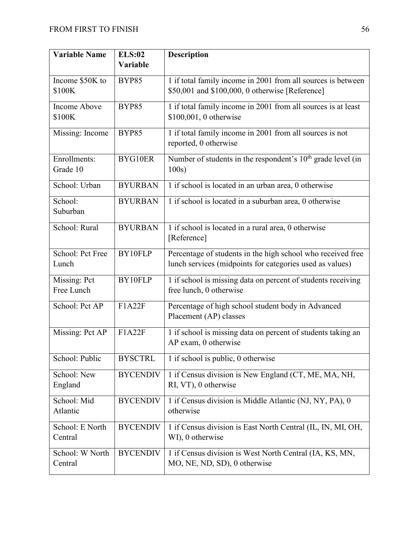| <b>Variable Name</b> | <b>ELS:02</b>   | <b>Description</b>                                                                   |
|----------------------|-----------------|--------------------------------------------------------------------------------------|
|                      | Variable        |                                                                                      |
| Income \$50K to      | <b>BYP85</b>    | 1 if total family income in 2001 from all sources is between                         |
| \$100K               |                 | \$50,001 and \$100,000, 0 otherwise [Reference]                                      |
| Income Above         | <b>BYP85</b>    | 1 if total family income in 2001 from all sources is at least                        |
| \$100K               |                 | \$100,001, 0 otherwise                                                               |
| Missing: Income      | <b>BYP85</b>    | 1 if total family income in 2001 from all sources is not<br>reported, 0 otherwise    |
| Enrollments:         | BYG10ER         | Number of students in the respondent's 10 <sup>th</sup> grade level (in              |
| Grade 10             |                 | 100s)                                                                                |
| School: Urban        | <b>BYURBAN</b>  | 1 if school is located in an urban area, 0 otherwise                                 |
| School:              | <b>BYURBAN</b>  | 1 if school is located in a suburban area, 0 otherwise                               |
| Suburban             |                 |                                                                                      |
| School: Rural        | <b>BYURBAN</b>  | 1 if school is located in a rural area, 0 otherwise<br>[Reference]                   |
| School: Pct Free     | BY10FLP         | Percentage of students in the high school who received free                          |
| Lunch                |                 | lunch services (midpoints for categories used as values)                             |
| Missing: Pct         | BY10FLP         | 1 if school is missing data on percent of students receiving                         |
| Free Lunch           |                 | free lunch, 0 otherwise                                                              |
| School: Pct AP       | F1A22F          | Percentage of high school student body in Advanced<br>Placement (AP) classes         |
| Missing: Pct AP      | F1A22F          | 1 if school is missing data on percent of students taking an<br>AP exam, 0 otherwise |
| School: Public       | <b>BYSCTRL</b>  | 1 if school is public, 0 otherwise                                                   |
| School: New          |                 |                                                                                      |
| England              | <b>BYCENDIV</b> | 1 if Census division is New England (CT, ME, MA, NH,<br>RI, VT), 0 otherwise         |
| School: Mid          | <b>BYCENDIV</b> | 1 if Census division is Middle Atlantic (NJ, NY, PA), 0                              |
| Atlantic             |                 | otherwise                                                                            |
| School: E North      | <b>BYCENDIV</b> | 1 if Census division is East North Central (IL, IN, MI, OH,                          |
| Central              |                 | WI), 0 otherwise                                                                     |
| School: W North      | <b>BYCENDIV</b> | 1 if Census division is West North Central (IA, KS, MN,                              |
| Central              |                 | MO, NE, ND, SD), 0 otherwise                                                         |